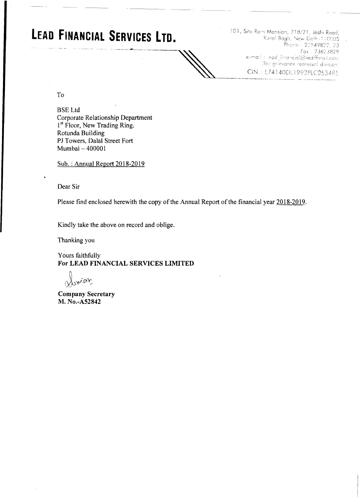101, Sita Ram Mansion, 718/21, Joshi Road, Karol Bagh, New Delh-110005<br>Phone: 20549822, 23 Fax: 23623829 e-mail: read financial@rediffmoil.com (for grievance redressal division)

CIN: L74140DL1993PLC053485

To

BSE Ltd Corporate Relationship Department 1 51 Floor, New Trading Ring. Rotunda Building PI Towers, Dalal Street Fort Mumbai - 400001

Sub. : Annual Report 2018-2019

Dear Sir

Please find enclosed herewith the copy of the Annual Report of the financial year 2018-2019.

Kindly take the above on record and oblige.

Thanking you

Yours faithfully For LEAD FINANCIAL SERVICES LIMITED

1\  $\dot{\rm w}$ iavy

Company Secretary M. No.-A52842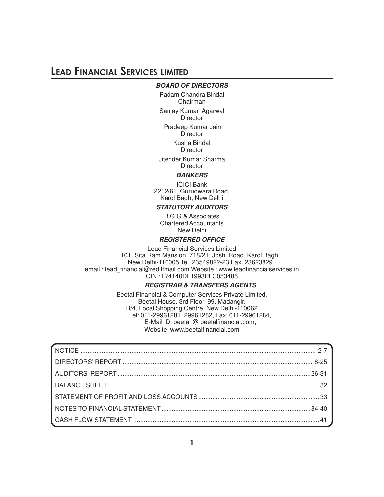## **BOARD OF DIRECTORS**

Padam Chandra Bindal Chairman

Sanjay Kumar Agarwal **Director** 

Pradeep Kumar Jain **Director** 

> Kusha Bindal **Director**

Jitender Kumar Sharma **Director** 

### **BANKERS**

ICICI Bank 2212/61, Gurudwara Road, Karol Bagh, New Delhi

### **STATUTORY AUDITORS**

B G G & Associates Chartered Accountants New Delhi

### **REGISTERED OFFICE**

Lead Financial Services Limited 101, Sita Ram Mansion, 718/21, Joshi Road, Karol Bagh, New Delhi-110005 Tel. 23549822-23 Fax. 23623829 email : lead\_financial@rediffmail.com Website : www.leadfinancialservices.in CIN : L74140DL1993PLC053485

### **REGISTRAR & TRANSFERS AGENTS**

Beetal Financial & Computer Services Private Limited, Beetal House, 3rd Floor, 99, Madangir, B/4, Local Shopping Centre, New Delhi-110062 Tel: 011-29961281, 29961282, Fax: 011-29961284, E-Mail ID: beetal @ beetalfinancial.com, Website: www.beetalfinancial.com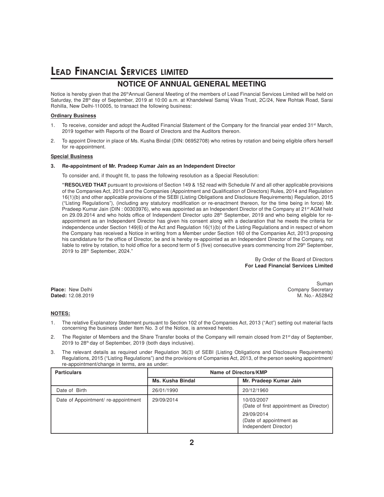## **LEAD FINANCIAL SERVICES LIMITED NOTICE OF ANNUAL GENERAL MEETING**

Notice is hereby given that the 26<sup>th</sup>Annual General Meeting of the members of Lead Financial Services Limited will be held on Saturday, the 28<sup>th</sup> day of September, 2019 at 10:00 a.m. at Khandelwal Samaj Vikas Trust, 2C/24, New Rohtak Road, Sarai Rohilla, New Delhi-110005, to transact the following business:

#### **Ordinary Business**

- 1. To receive, consider and adopt the Audited Financial Statement of the Company for the financial year ended  $31^{st}$  March, 2019 together with Reports of the Board of Directors and the Auditors thereon.
- 2. To appoint Director in place of Ms. Kusha Bindal (DIN: 06952708) who retires by rotation and being eligible offers herself for re-appointment.

#### **Special Business**

#### **3. Re-appointment of Mr. Pradeep Kumar Jain as an Independent Director**

To consider and, if thought fit, to pass the following resolution as a Special Resolution:

**"RESOLVED THAT** pursuant to provisions of Section 149 & 152 read with Schedule IV and all other applicable provisions of the Companies Act, 2013 and the Companies (Appointment and Qualification of Directors) Rules, 2014 and Regulation 16(1)(b) and other applicable provisions of the SEBI (Listing Obligations and Disclosure Requirements) Regulation, 2015 ("Listing Regulations"), (including any statutory modification or re-enactment thereon, for the time being in force) Mr. Pradeep Kumar Jain (DIN: 00303976), who was appointed as an Independent Director of the Company at 21<sup>st</sup> AGM held on 29.09.2014 and who holds office of Independent Director upto 28<sup>th</sup> September, 2019 and who being eligible for reappointment as an Independent Director has given his consent along with a declaration that he meets the criteria for independence under Section 149(6) of the Act and Regulation 16(1)(b) of the Listing Regulations and in respect of whom the Company has received a Notice in writing from a Member under Section 160 of the Companies Act, 2013 proposing his candidature for the office of Director, be and is hereby re-appointed as an Independent Director of the Company, not liable to retire by rotation, to hold office for a second term of 5 (five) consecutive years commencing from 29<sup>th</sup> September, 2019 to 28<sup>th</sup> September, 2024."

> By Order of the Board of Directors **For Lead Financial Services Limited**

Suman **Place:** New Delhi Company Secretary **Place:** New Delhi Company Secretary **Dated:** 12.08.2019 M. No. - A52842

#### **NOTES:**

- 1. The relative Explanatory Statement pursuant to Section 102 of the Companies Act, 2013 ("Act") setting out material facts concerning the business under Item No. 3 of the Notice, is annexed hereto.
- 2. The Register of Members and the Share Transfer books of the Company will remain closed from 21<sup>st</sup> day of September, 2019 to 28th day of September, 2019 (both days inclusive).
- 3. The relevant details as required under Regulation 36(3) of SEBI (Listing Obligations and Disclosure Requirements) Regulations, 2015 ("Listing Regulations") and the provisions of Companies Act, 2013, of the person seeking appointment/ re-appointment/change in terms, are as under:

| <b>Particulars</b>                 | Name of Directors/KMP   |                                                                                                                         |  |
|------------------------------------|-------------------------|-------------------------------------------------------------------------------------------------------------------------|--|
|                                    | <b>Ms. Kusha Bindal</b> | Mr. Pradeep Kumar Jain                                                                                                  |  |
| Date of Birth                      | 26/01/1990              | 20/12/1960                                                                                                              |  |
| Date of Appointment/re-appointment | 29/09/2014              | 10/03/2007<br>(Date of first appointment as Director)<br>29/09/2014<br>(Date of appointment as<br>Independent Director) |  |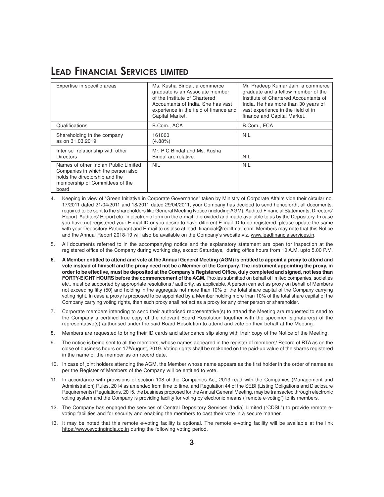| Expertise in specific areas                                                                                                                              | Ms. Kusha Bindal, a commerce<br>graduate is an Associate member<br>of the Institute of Chartered<br>Accountants of India. She has vast<br>experience in the field of finance and<br>Capital Market. | Mr. Pradeep Kumar Jain, a commerce<br>graduate and a fellow member of the<br>Institute of Chartered Accountants of<br>India. He has more than 30 years of<br>vast experience in the field of in<br>finance and Capital Market. |
|----------------------------------------------------------------------------------------------------------------------------------------------------------|-----------------------------------------------------------------------------------------------------------------------------------------------------------------------------------------------------|--------------------------------------------------------------------------------------------------------------------------------------------------------------------------------------------------------------------------------|
| Qualifications                                                                                                                                           | B.Com., ACA                                                                                                                                                                                         | B.Com., FCA                                                                                                                                                                                                                    |
| Shareholding in the company<br>as on 31.03.2019                                                                                                          | 161000<br>$(4.88\%)$                                                                                                                                                                                | <b>NIL</b>                                                                                                                                                                                                                     |
| Inter se relationship with other<br><b>Directors</b>                                                                                                     | Mr. P C Bindal and Ms. Kusha<br>Bindal are relative.                                                                                                                                                | <b>NIL</b>                                                                                                                                                                                                                     |
| Names of other Indian Public Limited<br>Companies in which the person also<br>holds the directorship and the<br>membership of Committees of the<br>board | <b>NIL</b>                                                                                                                                                                                          | <b>NIL</b>                                                                                                                                                                                                                     |

- 4. Keeping in view of "Green Initiative in Corporate Governance" taken by Ministry of Corporate Affairs vide their circular no. 17/2011 dated 21/04/2011 and 18/2011 dated 29/04/2011, your Company has decided to send henceforth, all documents, required to be sent to the shareholders like General Meeting Notice (including AGM), Audited Financial Statements, Directors' Report, Auditors' Report etc. in electronic form on the e-mail Id provided and made available to us by the Depository. In case you have not registered your E-mail ID or you desire to have different E-mail ID to be registered, please update the same with your Depository Participant and E-mail to us also at lead financial@rediffmail.com. Members may note that this Notice and the Annual Report 2018-19 will also be available on the Company's website viz. www.leadfinancialservices.in.
- 5. All documents referred to in the accompanying notice and the explanatory statement are open for inspection at the registered office of the Company during working day, except Saturdays, during office hours from 10 A.M. upto 5.00 P.M.
- **6. A Member entitled to attend and vote at the Annual General Meeting (AGM) is entitled to appoint a proxy to attend and vote instead of himself and the proxy need not be a Member of the Company. The instrument appointing the proxy, in order to be effective, must be deposited at the Company's Registered Office, duly completed and signed, not less than FORTY-EIGHT HOURS before the commencement of the AGM.** Proxies submitted on behalf of limited companies, societies etc., must be supported by appropriate resolutions / authority, as applicable. A person can act as proxy on behalf of Members not exceeding fifty (50) and holding in the aggregate not more than 10% of the total share capital of the Company carrying voting right. In case a proxy is proposed to be appointed by a Member holding more than 10% of the total share capital of the Company carrying voting rights, then such proxy shall not act as a proxy for any other person or shareholder.
- 7. Corporate members intending to send their authorised representative(s) to attend the Meeting are requested to send to the Company a certified true copy of the relevant Board Resolution together with the specimen signature(s) of the representative(s) authorised under the said Board Resolution to attend and vote on their behalf at the Meeting.
- 8. Members are requested to bring their ID cards and attendance slip along with their copy of the Notice of the Meeting.
- 9. The notice is being sent to all the members, whose names appeared in the register of members/ Record of RTA as on the close of business hours on 17<sup>th</sup>August, 2019. Voting rights shall be reckoned on the paid-up value of the shares registered in the name of the member as on record date.
- 10. In case of joint holders attending the AGM, the Member whose name appears as the first holder in the order of names as per the Register of Members of the Company will be entitled to vote.
- 11. In accordance with provisions of section 108 of the Companies Act, 2013 read with the Companies (Management and Administration) Rules, 2014 as amended from time to time, and Regulation 44 of the SEBI (Listing Obligations and Disclosure Requirements) Regulations, 2015, the business proposed for the Annual General Meeting, may be transacted through electronic voting system and the Company is providing facility for voting by electronic means ("remote e-voting") to its members.
- 12. The Company has engaged the services of Central Depository Services (India) Limited ("CDSL") to provide remote evoting facilities and for security and enabling the members to cast their vote in a secure manner.
- 13. It may be noted that this remote e-voting facility is optional. The remote e-voting facility will be available at the link https://www.evotingindia.co.in during the following voting period.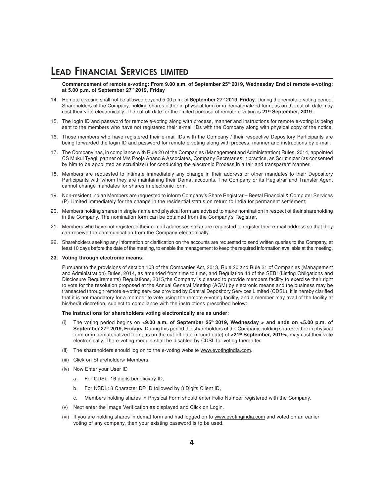**Commencement of remote e-voting: From 9.00 a.m. of September 25th 2019, Wednesday End of remote e-voting: at 5.00 p.m. of September 27th 2019, Friday**

- 14. Remote e-voting shall not be allowed beyond 5.00 p.m. of **September 27th 2019, Friday**. During the remote e-voting period, Shareholders of the Company, holding shares either in physical form or in dematerialized form, as on the cut-off date may cast their vote electronically. The cut-off date for the limited purpose of remote e-voting is **21st September, 2019**.
- 15. The login ID and password for remote e-voting along with process, manner and instructions for remote e-voting is being sent to the members who have not registered their e-mail IDs with the Company along with physical copy of the notice.
- 16. Those members who have registered their e-mail IDs with the Company / their respective Depository Participants are being forwarded the login ID and password for remote e-voting along with process, manner and instructions by e-mail.
- 17. The Company has, in compliance with Rule 20 of the Companies (Management and Administration) Rules, 2014, appointed CS Mukul Tyagi, partner of M/s Pooja Anand & Associates, Company Secretaries in practice, as Scrutinizer (as consented by him to be appointed as scrutinizer) for conducting the electronic Process in a fair and transparent manner.
- 18. Members are requested to intimate immediately any change in their address or other mandates to their Depository Participants with whom they are maintaining their Demat accounts. The Company or its Registrar and Transfer Agent cannot change mandates for shares in electronic form.
- 19. Non-resident Indian Members are requested to inform Company's Share Registrar Beetal Financial & Computer Services (P) Limited immediately for the change in the residential status on return to India for permanent settlement;
- 20. Members holding shares in single name and physical form are advised to make nomination in respect of their shareholding in the Company. The nomination form can be obtained from the Company's Registrar.
- 21. Members who have not registered their e-mail addresses so far are requested to register their e-mail address so that they can receive the communication from the Company electronically.
- 22. Shareholders seeking any information or clarification on the accounts are requested to send written queries to the Company, at least 10 days before the date of the meeting, to enable the management to keep the required information available at the meeting.

#### **23. Voting through electronic means:**

Pursuant to the provisions of section 108 of the Companies Act, 2013, Rule 20 and Rule 21 of Companies (Management and Administration) Rules, 2014, as amended from time to time, and Regulation 44 of the SEBI (Listing Obligations and Disclosure Requirements) Regulations, 2015,the Company is pleased to provide members facility to exercise their right to vote for the resolution proposed at the Annual General Meeting (AGM) by electronic means and the business may be transacted through remote e-voting services provided by Central Depository Services Limited (CDSL). It is hereby clarified that it is not mandatory for a member to vote using the remote e-voting facility, and a member may avail of the facility at his/her/it discretion, subject to compliance with the instructions prescribed below:

#### **The instructions for shareholders voting electronically are as under:**

- (i) The voting period begins on <**9.00 a.m. of September 25th 2019, Wednesday > and ends on <5.00 p.m. of September 27th 2019, Friday>**. During this period the shareholders of the Company, holding shares either in physical form or in dematerialized form, as on the cut-off date (record date) of **<21st September, 2019>**, may cast their vote electronically. The e-voting module shall be disabled by CDSL for voting thereafter.
- (ii) The shareholders should log on to the e-voting website www.evotingindia.com.
- (iii) Click on Shareholders/ Members.
- (iv) Now Enter your User ID
	- a. For CDSL: 16 digits beneficiary ID,
	- b. For NSDL: 8 Character DP ID followed by 8 Digits Client ID,
	- c. Members holding shares in Physical Form should enter Folio Number registered with the Company.
- (v) Next enter the Image Verification as displayed and Click on Login.
- (vi) If you are holding shares in demat form and had logged on to www.evotingindia.com and voted on an earlier voting of any company, then your existing password is to be used.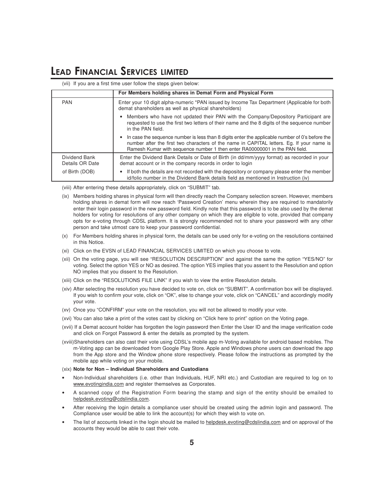(vii) If you are a first time user follow the steps given below:

|                                  | For Members holding shares in Demat Form and Physical Form                                                                                                                                                                                                                    |  |
|----------------------------------|-------------------------------------------------------------------------------------------------------------------------------------------------------------------------------------------------------------------------------------------------------------------------------|--|
| <b>PAN</b>                       | Enter your 10 digit alpha-numeric *PAN issued by Income Tax Department (Applicable for both<br>demat shareholders as well as physical shareholders)                                                                                                                           |  |
|                                  | Members who have not updated their PAN with the Company/Depository Participant are<br>requested to use the first two letters of their name and the 8 digits of the sequence number<br>in the PAN field.                                                                       |  |
|                                  | • In case the sequence number is less than 8 digits enter the applicable number of 0's before the<br>number after the first two characters of the name in CAPITAL letters. Eq. If your name is<br>Ramesh Kumar with sequence number 1 then enter RA00000001 in the PAN field. |  |
| Dividend Bank<br>Details OR Date | Enter the Dividend Bank Details or Date of Birth (in dd/mm/yyyy format) as recorded in your<br>demat account or in the company records in order to login                                                                                                                      |  |
| of Birth (DOB)                   | If both the details are not recorded with the depository or company please enter the member<br>id/folio number in the Dividend Bank details field as mentioned in Instruction (iv)                                                                                            |  |

- (viii) After entering these details appropriately, click on "SUBMIT" tab.
- (ix) Members holding shares in physical form will then directly reach the Company selection screen. However, members holding shares in demat form will now reach 'Password Creation' menu wherein they are required to mandatorily enter their login password in the new password field. Kindly note that this password is to be also used by the demat holders for voting for resolutions of any other company on which they are eligible to vote, provided that company opts for e-voting through CDSL platform. It is strongly recommended not to share your password with any other person and take utmost care to keep your password confidential.
- (x) For Members holding shares in physical form, the details can be used only for e-voting on the resolutions contained in this Notice.
- (xi) Click on the EVSN of LEAD FINANCIAL SERVICES LIMITED on which you choose to vote.
- (xii) On the voting page, you will see "RESOLUTION DESCRIPTION" and against the same the option "YES/NO" for voting. Select the option YES or NO as desired. The option YES implies that you assent to the Resolution and option NO implies that you dissent to the Resolution.
- (xiii) Click on the "RESOLUTIONS FILE LINK" if you wish to view the entire Resolution details.
- (xiv) After selecting the resolution you have decided to vote on, click on "SUBMIT". A confirmation box will be displayed. If you wish to confirm your vote, click on "OK", else to change your vote, click on "CANCEL" and accordingly modify your vote.
- (xv) Once you "CONFIRM" your vote on the resolution, you will not be allowed to modify your vote.
- (xvi) You can also take a print of the votes cast by clicking on "Click here to print" option on the Voting page.
- (xvii) If a Demat account holder has forgotten the login password then Enter the User ID and the image verification code and click on Forgot Password & enter the details as prompted by the system.
- (xviii)Shareholders can also cast their vote using CDSL's mobile app m-Voting available for android based mobiles. The m-Voting app can be downloaded from Google Play Store. Apple and Windows phone users can download the app from the App store and the Window phone store respectively. Please follow the instructions as prompted by the mobile app while voting on your mobile.

#### (xix) **Note for Non – Individual Shareholders and Custodians**

- Non-Individual shareholders (i.e. other than Individuals, HUF, NRI etc.) and Custodian are required to log on to www.evotingindia.com and register themselves as Corporates.
- A scanned copy of the Registration Form bearing the stamp and sign of the entity should be emailed to helpdesk.evoting@cdslindia.com.
- After receiving the login details a compliance user should be created using the admin login and password. The Compliance user would be able to link the account(s) for which they wish to vote on.
- The list of accounts linked in the login should be mailed to helpdesk.evoting@cdslindia.com and on approval of the accounts they would be able to cast their vote.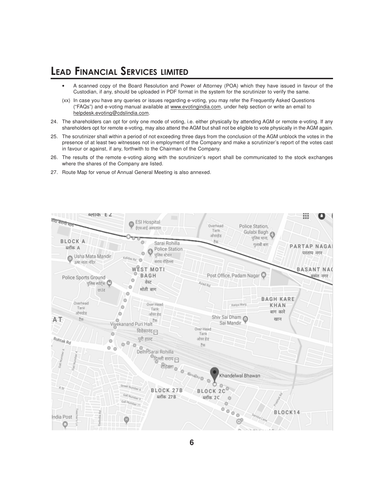- A scanned copy of the Board Resolution and Power of Attorney (POA) which they have issued in favour of the Custodian, if any, should be uploaded in PDF format in the system for the scrutinizer to verify the same.
- (xx) In case you have any queries or issues regarding e-voting, you may refer the Frequently Asked Questions ("FAQs") and e-voting manual available at www.evotingindia.com, under help section or write an email to helpdesk.evoting@cdslindia.com.
- 24. The shareholders can opt for only one mode of voting, i.e. either physically by attending AGM or remote e-voting. If any shareholders opt for remote e-voting, may also attend the AGM but shall not be eligible to vote physically in the AGM again.
- 25. The scrutinizer shall within a period of not exceeding three days from the conclusion of the AGM unblock the votes in the presence of at least two witnesses not in employment of the Company and make a scrutinizer's report of the votes cast in favour or against, if any, forthwith to the Chairman of the Company.
- 26. The results of the remote e-voting along with the scrutinizer's report shall be communicated to the stock exchanges where the shares of the Company are listed.
- 27. Route Map for venue of Annual General Meeting is also annexed.

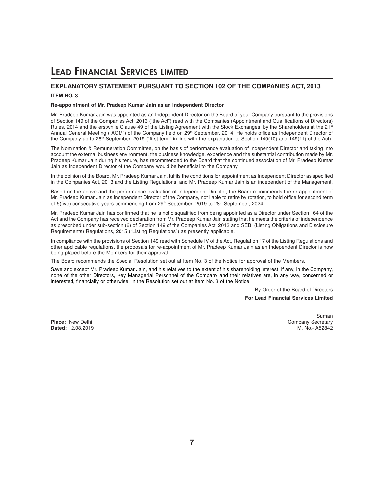### **EXPLANATORY STATEMENT PURSUANT TO SECTION 102 OF THE COMPANIES ACT, 2013 ITEM NO. 3**

#### **Re-appointment of Mr. Pradeep Kumar Jain as an Independent Director**

Mr. Pradeep Kumar Jain was appointed as an Independent Director on the Board of your Company pursuant to the provisions of Section 149 of the Companies Act, 2013 ("the Act") read with the Companies (Appointment and Qualifications of Directors) Rules, 2014 and the erstwhile Clause 49 of the Listing Agreement with the Stock Exchanges, by the Shareholders at the 21<sup>st</sup> Annual General Meeting ("AGM") of the Company held on 29<sup>th</sup> September, 2014. He holds office as Independent Director of the Company up to 28<sup>th</sup> September, 2019 ("first term" in line with the explanation to Section 149(10) and 149(11) of the Act).

The Nomination & Remuneration Committee, on the basis of performance evaluation of Independent Director and taking into account the external business environment, the business knowledge, experience and the substantial contribution made by Mr. Pradeep Kumar Jain during his tenure, has recommended to the Board that the continued association of Mr. Pradeep Kumar Jain as Independent Director of the Company would be beneficial to the Company.

In the opinion of the Board, Mr. Pradeep Kumar Jain, fulfils the conditions for appointment as Independent Director as specified in the Companies Act, 2013 and the Listing Regulations, and Mr. Pradeep Kumar Jain is an independent of the Management.

Based on the above and the performance evaluation of Independent Director, the Board recommends the re-appointment of Mr. Pradeep Kumar Jain as Independent Director of the Company, not liable to retire by rotation, to hold office for second term of 5(five) consecutive years commencing from 29<sup>th</sup> September, 2019 to 28<sup>th</sup> September, 2024.

Mr. Pradeep Kumar Jain has confirmed that he is not disqualified from being appointed as a Director under Section 164 of the Act and the Company has received declaration from Mr. Pradeep Kumar Jain stating that he meets the criteria of independence as prescribed under sub-section (6) of Section 149 of the Companies Act, 2013 and SEBI (Listing Obligations and Disclosure Requirements) Regulations, 2015 ("Listing Regulations") as presently applicable.

In compliance with the provisions of Section 149 read with Schedule IV of the Act, Regulation 17 of the Listing Regulations and other applicable regulations, the proposals for re-appointment of Mr. Pradeep Kumar Jain as an Independent Director is now being placed before the Members for their approval.

The Board recommends the Special Resolution set out at Item No. 3 of the Notice for approval of the Members.

Save and except Mr. Pradeep Kumar Jain, and his relatives to the extent of his shareholding interest, if any, in the Company, none of the other Directors, Key Managerial Personnel of the Company and their relatives are, in any way, concerned or interested, financially or otherwise, in the Resolution set out at Item No. 3 of the Notice.

By Order of the Board of Directors

#### **For Lead Financial Services Limited**

**Dated: 12.08.2019** 

Suman **Place:** New Delhi Company Secretary<br> **Dated:** 12.08.2019 M. No. 452842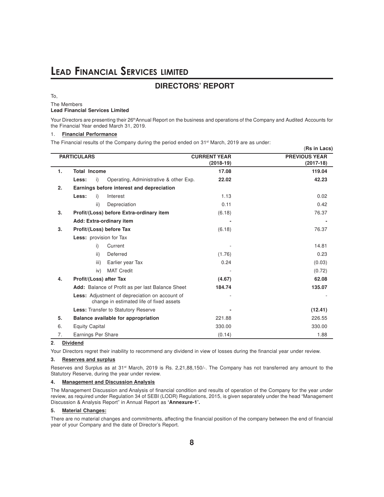## **DIRECTORS' REPORT**

### To,

The Members

### **Lead Financial Services Limited**

Your Directors are presenting their 26<sup>th</sup>Annual Report on the business and operations of the Company and Audited Accounts for the Financial Year ended March 31, 2019.

### 1. **Financial Performance**

The Financial results of the Company during the period ended on 31<sup>st</sup> March, 2019 are as under:

|    |                                                                                            |                                    | (Rs in Lacs)                        |
|----|--------------------------------------------------------------------------------------------|------------------------------------|-------------------------------------|
|    | <b>PARTICULARS</b>                                                                         | <b>CURRENT YEAR</b><br>$(2018-19)$ | <b>PREVIOUS YEAR</b><br>$(2017-18)$ |
| 1. | <b>Total Income</b>                                                                        | 17.08                              | 119.04                              |
|    | i)<br>Operating, Administrative & other Exp.<br>Less:                                      | 22.02                              | 42.23                               |
| 2. | Earnings before interest and depreciation                                                  |                                    |                                     |
|    | Less:<br>Interest<br>i)                                                                    | 1.13                               | 0.02                                |
|    | ii)<br>Depreciation                                                                        | 0.11                               | 0.42                                |
| 3. | Profit/(Loss) before Extra-ordinary item                                                   | (6.18)                             | 76.37                               |
|    | Add: Extra-ordinary item                                                                   |                                    |                                     |
| 3. | Profit/(Loss) before Tax                                                                   | (6.18)                             | 76.37                               |
|    | <b>Less:</b> provision for Tax                                                             |                                    |                                     |
|    | Current<br>i)                                                                              |                                    | 14.81                               |
|    | ii)<br>Deferred                                                                            | (1.76)                             | 0.23                                |
|    | iii)<br>Earlier year Tax                                                                   | 0.24                               | (0.03)                              |
|    | <b>MAT Credit</b><br>iv)                                                                   |                                    | (0.72)                              |
| 4. | Profit/(Loss) after Tax                                                                    | (4.67)                             | 62.08                               |
|    | Add: Balance of Profit as per last Balance Sheet                                           | 184.74                             | 135.07                              |
|    | Less: Adjustment of depreciation on account of<br>change in estimated life of fixed assets |                                    |                                     |
|    | <b>Less: Transfer to Statutory Reserve</b>                                                 |                                    | (12.41)                             |
| 5. | Balance available for appropriation                                                        | 221.88                             | 226.55                              |
| 6. | <b>Equity Capital</b>                                                                      | 330.00                             | 330.00                              |
| 7. | Earnings Per Share                                                                         | (0.14)                             | 1.88                                |

#### **2**. **Dividend**

Your Directors regret their inability to recommend any dividend in view of losses during the financial year under review.

#### **3. Reserves and surplus**

Reserves and Surplus as at 31st March, 2019 is Rs. 2,21,88,150/-. The Company has not transferred any amount to the Statutory Reserve, during the year under review.

#### **4. Management and Discussion Analysis**

The Management Discussion and Analysis of financial condition and results of operation of the Company for the year under review, as required under Regulation 34 of SEBI (LODR) Regulations, 2015, is given separately under the head "Management Discussion & Analysis Report" in Annual Report as **'Annexure-1'.**

#### **5. Material Changes:**

There are no material changes and commitments, affecting the financial position of the company between the end of financial year of your Company and the date of Director's Report.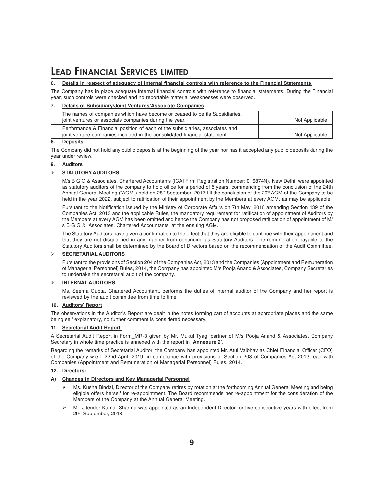#### **6. Details in respect of adequacy of internal financial controls with reference to the Financial Statements:**

The Company has in place adequate internal financial controls with reference to financial statements. During the Financial year, such controls were checked and no reportable material weaknesses were observed.

#### **7. Details of Subsidiary/Joint Ventures/Associate Companies**

| The names of companies which have become or ceased to be its Subsidiaries,<br>joint ventures or associate companies during the year.                      | Not Applicable |
|-----------------------------------------------------------------------------------------------------------------------------------------------------------|----------------|
| Performance & Financial position of each of the subsidiaries, associates and<br>joint venture companies included in the consolidated financial statement. | Not Applicable |

#### **8. Deposits**

The Company did not hold any public deposits at the beginning of the year nor has it accepted any public deposits during the year under review.

#### **9**. **Auditors**

#### ÿ **STATUTORY AUDITORS**

M/s B G G & Associates, Chartered Accountants (ICAI Firm Registration Number: 016874N), New Delhi, were appointed as statutory auditors of the company to hold office for a period of 5 years, commencing from the conclusion of the 24th Annual General Meeting ("AGM") held on 28<sup>th</sup> September, 2017 till the conclusion of the 29<sup>th</sup> AGM of the Company to be held in the year 2022, subject to ratification of their appointment by the Members at every AGM, as may be applicable.

Pursuant to the Notification issued by the Ministry of Corporate Affairs on 7th May, 2018 amending Section 139 of the Companies Act, 2013 and the applicable Rules, the mandatory requirement for ratification of appointment of Auditors by the Members at every AGM has been omitted and hence the Company has not proposed ratification of appointment of M/ s B G G & Associates, Chartered Accountants, at the ensuing AGM.

The Statutory Auditors have given a confirmation to the effect that they are eligible to continue with their appointment and that they are not disqualified in any manner from continuing as Statutory Auditors. The remuneration payable to the Statutory Auditors shall be determined by the Board of Directors based on the recommendation of the Audit Committee.

#### ÿ **SECRETARIAL AUDITORS**

Pursuant to the provisions of Section 204 of the Companies Act, 2013 and the Companies (Appointment and Remuneration of Managerial Personnel) Rules, 2014, the Company has appointed M/s Pooja Anand & Associates, Company Secretaries to undertake the secretarial audit of the company.

#### ÿ **INTERNAL AUDITORS**

Ms. Seema Gupta, Chartered Accountant, performs the duties of internal auditor of the Company and her report is reviewed by the audit committee from time to time

#### **10. Auditors' Report**

The observations in the Auditor's Report are dealt in the notes forming part of accounts at appropriate places and the same being self explanatory, no further comment is considered necessary.

#### **11. Secretarial Audit Report**

A Secretarial Audit Report in Form MR-3 given by Mr. Mukul Tyagi partner of M/s Pooja Anand & Associates, Company Secretary in whole time practice is annexed with the report in **'Annexure 2'**.

Regarding the remarks of Secretarial Auditor, the Company has appointed Mr. Atul Vaibhav as Chief Financial Officer (CFO) of the Company w.e.f. 22nd April, 2019, in compliance with provisions of Section 203 of Companies Act 2013 read with Companies (Appointment and Remuneration of Managerial Personnel) Rules, 2014.

#### **12. Directors:**

#### **A) Changes in Directors and Key Managerial Personnel**

- Ms. Kusha Bindal, Director of the Company retires by rotation at the forthcoming Annual General Meeting and being eligible offers herself for re-appointment. The Board recommends her re-appointment for the consideration of the Members of the Company at the Annual General Meeting.
- ÿ Mr. Jitender Kumar Sharma was appointed as an Independent Director for five consecutive years with effect from 29th September, 2018.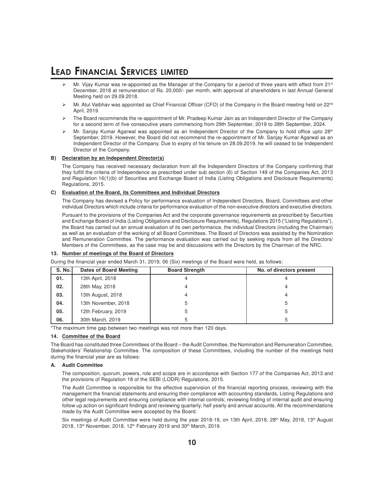- $\triangleright$  Mr. Vijay Kumar was re-appointed as the Manager of the Company for a period of three years with effect from 21<sup>st</sup> December, 2018 at remuneration of Rs. 20,000/- per month, with approval of shareholders in last Annual General Meeting held on 29.09.2018.
- $\triangleright$  Mr. Atul Vaibhav was appointed as Chief Financial Officer (CFO) of the Company in the Board meeting held on 22<sup>nd</sup> April, 2019.
- $\triangleright$  The Board recommends the re-appointment of Mr. Pradeep Kumar Jain as an Independent Director of the Company for a second term of five consecutive years commencing from 29th September, 2019 to 28th September, 2024.
- $\triangleright$  Mr. Sanjay Kumar Agarwal was appointed as an Independent Director of the Company to hold office upto 28<sup>th</sup> September, 2019. However, the Board did not recommend the re-appointment of Mr. Sanjay Kumar Agarwal as an Independent Director of the Company. Due to expiry of his tenure on 28.09.2019, he will ceased to be Independent Director of the Company.

#### **B) Declaration by an Independent Director(s)**

The Company has received necessary declaration from all the Independent Directors of the Company confirming that they fulfill the criteria of Independence as prescribed under sub section (6) of Section 149 of the Companies Act, 2013 and Regulation 16(1)(b) of Securities and Exchange Board of India (Listing Obligations and Disclosure Requirements) Regulations, 2015.

#### **C) Evaluation of the Board, its Committees and Individual Directors**

The Company has devised a Policy for performance evaluation of Independent Directors, Board, Committees and other individual Directors which include criteria for performance evaluation of the non-executive directors and executive directors.

Pursuant to the provisions of the Companies Act and the corporate governance requirements as prescribed by Securities and Exchange Board of India (Listing Obligations and Disclosure Requirements), Regulations 2015 ("Listing Regulations"), the Board has carried out an annual evaluation of its own performance, the individual Directors (including the Chairman) as well as an evaluation of the working of all Board Committees. The Board of Directors was assisted by the Nomination and Remuneration Committee. The performance evaluation was carried out by seeking inputs from all the Directors/ Members of the Committees, as the case may be and discussions with the Directors by the Chairman of the NRC.

#### **13. Number of meetings of the Board of Directors**

During the financial year ended March 31, 2019, 06 (Six) meetings of the Board were held, as follows:

| S. No. | Dates of Board Meeting | <b>Board Strength</b> | No. of directors present |
|--------|------------------------|-----------------------|--------------------------|
| 01.    | 13th April, 2018       |                       |                          |
| 02.    | 28th May, 2018         |                       |                          |
| 03.    | 13th August, 2018      |                       | 4                        |
| 04.    | 13th November, 2018    | 5                     | 5                        |
| 05.    | 12th February, 2019    | 5.                    | 5                        |
| 06.    | 30th March, 2019       | 5.                    | 5                        |

\*The maximum time gap between two meetings was not more than 120 days.

#### **14. Committee of the Board**

The Board has constituted three Committees of the Board – the Audit Committee, the Nomination and Remuneration Committee, Stakeholders' Relationship Committee. The composition of these Committees, including the number of the meetings held during the financial year are as follows:

#### **A. Audit Committee**

The composition, quorum, powers, role and scope are in accordance with Section 177 of the Companies Act, 2013 and the provisions of Regulation 18 of the SEBI (LODR) Regulations, 2015.

The Audit Committee is responsible for the effective supervision of the financial reporting process, reviewing with the management the financial statements and ensuring their compliance with accounting standards, Listing Regulations and other legal requirements and ensuring compliance with internal controls; reviewing finding of internal audit and ensuring follow up action on significant findings and reviewing quarterly, half yearly and annual accounts. All the recommendations made by the Audit Committee were accepted by the Board.

Six meetings of Audit Committee were held during the year 2018-19, on 13th April, 2018, 28<sup>th</sup> May, 2018, 13<sup>th</sup> August 2018, 13<sup>th</sup> November, 2018, 12<sup>th</sup> February 2019 and 30<sup>th</sup> March, 2019.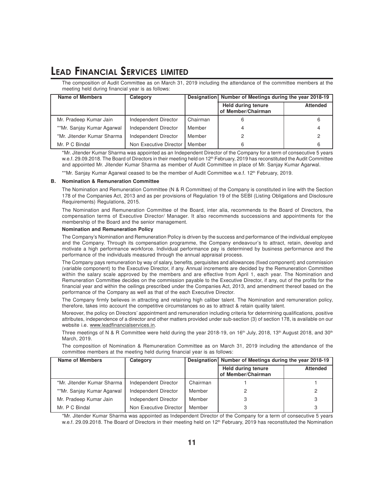The composition of Audit Committee as on March 31, 2019 including the attendance of the committee members at the meeting held during financial year is as follows:

| Name of Members            | Category               |          | Designation Number of Meetings during the year 2018-19 |                 |
|----------------------------|------------------------|----------|--------------------------------------------------------|-----------------|
|                            |                        |          | <b>Held during tenure</b><br>of Member/Chairman        | <b>Attended</b> |
| Mr. Pradeep Kumar Jain     | Independent Director   | Chairman |                                                        |                 |
| **Mr. Sanjay Kumar Agarwal | Independent Director   | Member   |                                                        |                 |
| *Mr. Jitender Kumar Sharma | Independent Director   | Member   |                                                        |                 |
| Mr. P C Bindal             | Non Executive Director | Member   | 6                                                      |                 |

\*Mr. Jitender Kumar Sharma was appointed as an Independent Director of the Company for a term of consecutive 5 years w.e.f. 29.09.2018. The Board of Directors in their meeting held on 12<sup>th</sup> February, 2019 has reconstituted the Audit Committee and appointed Mr. Jitender Kumar Sharma as member of Audit Committee in place of Mr. Sanjay Kumar Agarwal.

\*\*Mr. Sanjay Kumar Agarwal ceased to be the member of Audit Committee w.e.f. 12<sup>th</sup> February, 2019.

#### **B. Nomination & Remuneration Committee**

The Nomination and Remuneration Committee (N & R Committee) of the Company is constituted in line with the Section 178 of the Companies Act, 2013 and as per provisions of Regulation 19 of the SEBI (Listing Obligations and Disclosure Requirements) Regulations, 2015.

The Nomination and Remuneration Committee of the Board, inter alia, recommends to the Board of Directors, the compensation terms of Executive Director/ Manager. It also recommends successions and appointments for the membership of the Board and the senior management.

#### **Nomination and Remuneration Policy**

The Company's Nomination and Remuneration Policy is driven by the success and performance of the individual employee and the Company. Through its compensation programme, the Company endeavour's to attract, retain, develop and motivate a high performance workforce. Individual performance pay is determined by business performance and the performance of the individuals measured through the annual appraisal process.

The Company pays remuneration by way of salary, benefits, perquisites and allowances (fixed component) and commission (variable component) to the Executive Director, if any. Annual increments are decided by the Remuneration Committee within the salary scale approved by the members and are effective from April 1, each year. The Nomination and Remuneration Committee decides on the commission payable to the Executive Director, if any, out of the profits for the financial year and within the ceilings prescribed under the Companies Act, 2013, and amendment thereof based on the performance of the Company as well as that of the each Executive Director.

The Company firmly believes in attracting and retaining high caliber talent. The Nomination and remuneration policy, therefore, takes into account the competitive circumstances so as to attract & retain quality talent.

Moreover, the policy on Directors' appointment and remuneration including criteria for determining qualifications, positive attributes, independence of a director and other matters provided under sub-section (3) of section 178, is available on our website i.e. www.leadfinancialservices.in.

Three meetings of N & R Committee were held during the year 2018-19, on 16<sup>th</sup> July, 2018, 13<sup>th</sup> August 2018, and 30<sup>th</sup> March, 2019.

The composition of Nomination & Remuneration Committee as on March 31, 2019 including the attendance of the committee members at the meeting held during financial year is as follows:

| <b>Name of Members</b>     | Category               |          | Designation Number of Meetings during the year 2018-19 |                 |
|----------------------------|------------------------|----------|--------------------------------------------------------|-----------------|
|                            |                        |          | <b>Held during tenure</b><br>of Member/Chairman        | <b>Attended</b> |
| *Mr. Jitender Kumar Sharma | Independent Director   | Chairman |                                                        |                 |
| **Mr. Sanjay Kumar Agarwal | Independent Director   | Member   |                                                        | 2               |
| Mr. Pradeep Kumar Jain     | Independent Director   | Member   |                                                        | 3               |
| Mr. P C Bindal             | Non Executive Director | Member   |                                                        |                 |

\*Mr. Jitender Kumar Sharma was appointed as Independent Director of the Company for a term of consecutive 5 years w.e.f. 29.09.2018. The Board of Directors in their meeting held on 12<sup>th</sup> February, 2019 has reconstituted the Nomination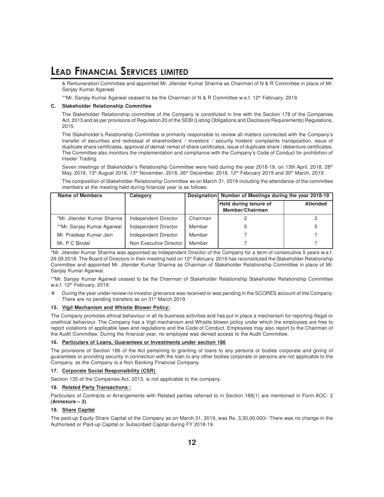& Remuneration Committee and appointed Mr. Jitender Kumar Sharma as Chairman of N & R Committee in place of Mr. Sanjay Kumar Agarwal.

\*\*Mr. Sanjay Kumar Agarwal ceased to be the Chairman of N & R Committee w.e.f. 12<sup>th</sup> February, 2019.

#### **C. Stakeholder Relationship Committee**

The Stakeholder Relationship committee of the Company is constituted in line with the Section 178 of the Companies Act, 2013 and as per provisions of Regulation 20 of the SEBI (Listing Obligations and Disclosure Requirements) Regulations, 2015.

The Stakeholder's Relationship Committee is primarily responsible to review all matters connected with the Company's transfer of securities and redressal of shareholders' / investors' / security holders' complaints transposition, issue of duplicate share certificates, approval of demat/ remat of share certificates, issue of duplicate share / debenture certificates. The Committee also monitors the implementation and compliance with the Company's Code of Conduct for prohibition of Insider Trading.

Seven meetings of Stakeholder's Relationship Committee were held during the year 2018-19, on 13th April, 2018, 28<sup>th</sup> May, 2018, 13<sup>th</sup> August 2018, 13<sup>th</sup> November, 2018, 26<sup>th</sup> December, 2018, 12<sup>th</sup> February 2019 and 30<sup>th</sup> March, 2019.

The composition of Stakeholder Relationship Committee as on March 31, 2019 including the attendance of the committee members at the meeting held during financial year is as follows:

| Name of Members            | Category               | <b>Designation</b> | Number of Meetings during the year 2018-19 |                 |
|----------------------------|------------------------|--------------------|--------------------------------------------|-----------------|
|                            |                        |                    | Held during tenure of<br>Member/Chairman   | <b>Attended</b> |
| *Mr. Jitender Kumar Sharma | Independent Director   | Chairman           |                                            |                 |
| **Mr. Sanjay Kumar Agarwal | Independent Director   | Member             | 5                                          | 5               |
| Mr. Pradeep Kumar Jain     | Independent Director   | Member             |                                            |                 |
| Mr. P C Bindal             | Non Executive Director | Member             |                                            |                 |

\*Mr. Jitender Kumar Sharma was appointed as Independent Director of the Company for a term of consecutive 5 years w.e.f. 29.09.2018. The Board of Directors in their meeting held on 12<sup>th</sup> February, 2019 has reconstituted the Stakeholder Relationship Committee and appointed Mr. Jitender Kumar Sharma as Chairman of Stakeholder Relationship Committee in place of Mr. Sanjay Kumar Agarwal.

\*\*Mr. Sanjay Kumar Agarwal ceased to be the Chairman of Stakeholder Relationship Stakeholder Relationship Committee w.e.f. 12<sup>th</sup> February, 2019.

During the year under review no investor grievance was received or was pending in the SCORES account of the Company. There are no pending transfers as on 31<sup>st</sup> March 2019.

#### **15. Vigil Mechanism and Whistle Blower Policy:**

The Company promotes ethical behaviour in all its business activities and has put in place a mechanism for reporting illegal or unethical behaviour. The Company has a Vigil mechanism and Whistle blower policy under which the employees are free to report violations of applicable laws and regulations and the Code of Conduct. Employees may also report to the Chairman of the Audit Committee. During the financial year, no employee was denied access to the Audit Committee.

#### **16. Particulars of Loans, Guarantees or Investments under section 186**

The provisions of Section 186 of the Act pertaining to granting of loans to any persons or bodies corporate and giving of guarantees or providing security in connection with the loan to any other bodies corporate or persons are not applicable to the Company, as the Company is a Non Banking Financial Company.

#### **17. Corporate Social Responsibility (CSR)**

Section 135 of the Companies Act, 2013, is not applicable to the company.

#### **18. Related Party Transactions :**

Particulars of Contracts or Arrangements with Related parties referred to in Section 188(1) are mentioned in Form AOC- 2 **(Annexure – 3)**

#### **19. Share Capital**

The paid-up Equity Share Capital of the Company as on March 31, 2019, was Rs. 3,30,00,000/- There was no change in the Authorised or Paid-up Capital or Subscribed Capital during FY 2018-19.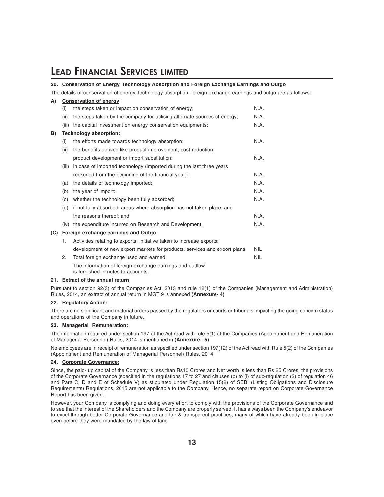#### **20. Conservation of Energy, Technology Absorption and Foreign Exchange Earnings and Outgo**

The details of conservation of energy, technology absorption, foreign exchange earnings and outgo are as follows:

| A)  |       | Conservation of energy:                                                                        |            |
|-----|-------|------------------------------------------------------------------------------------------------|------------|
|     | (i)   | the steps taken or impact on conservation of energy;                                           | N.A.       |
|     | (ii)  | the steps taken by the company for utilising alternate sources of energy;                      | N.A.       |
|     | (iii) | the capital investment on energy conservation equipments;                                      | N.A.       |
| B)  |       | <b>Technology absorption:</b>                                                                  |            |
|     | (i)   | the efforts made towards technology absorption;                                                | N.A.       |
|     | (ii)  | the benefits derived like product improvement, cost reduction,                                 |            |
|     |       | product development or import substitution;                                                    | N.A.       |
|     | (iii) | in case of imported technology (imported during the last three years                           |            |
|     |       | reckoned from the beginning of the financial year)-                                            | N.A.       |
|     | (a)   | the details of technology imported;                                                            | N.A.       |
|     | (b)   | the year of import;                                                                            | N.A.       |
|     | (c)   | whether the technology been fully absorbed;                                                    | N.A.       |
|     | (d)   | if not fully absorbed, areas where absorption has not taken place, and                         |            |
|     |       | the reasons thereof; and                                                                       | N.A.       |
|     | (iv)  | the expenditure incurred on Research and Development.                                          | N.A.       |
| (C) |       | Foreign exchange earnings and Outgo:                                                           |            |
|     | 1.    | Activities relating to exports; initiative taken to increase exports;                          |            |
|     |       | development of new export markets for products, services and export plans.                     | <b>NIL</b> |
|     | 2.    | Total foreign exchange used and earned.                                                        | <b>NIL</b> |
|     |       | The information of foreign exchange earnings and outflow<br>is furnished in notes to accounts. |            |

#### **21. Extract of the annual return**

Pursuant to section 92(3) of the Companies Act, 2013 and rule 12(1) of the Companies (Management and Administration) Rules, 2014, an extract of annual return in MGT 9 is annexed **(Annexure- 4)**

#### **22. Regulatory Action:**

There are no significant and material orders passed by the regulators or courts or tribunals impacting the going concern status and operations of the Company in future.

#### **23. Managerial Remuneration:**

The information required under section 197 of the Act read with rule 5(1) of the Companies (Appointment and Remuneration of Managerial Personnel) Rules, 2014 is mentioned in **(Annexure– 5)**

No employees are in receipt of remuneration as specified under section 197(12) of the Act read with Rule 5(2) of the Companies (Appointment and Remuneration of Managerial Personnel) Rules, 2014

#### **24. Corporate Governance:**

Since, the paid- up capital of the Company is less than Rs10 Crores and Net worth is less than Rs 25 Crores, the provisions of the Corporate Governance (specified in the regulations 17 to 27 and clauses (b) to (i) of sub-regulation (2) of regulation 46 and Para C, D and E of Schedule V) as stipulated under Regulation 15(2) of SEBI (Listing Obligations and Disclosure Requirements) Regulations, 2015 are not applicable to the Company. Hence, no separate report on Corporate Governance Report has been given.

However, your Company is complying and doing every effort to comply with the provisions of the Corporate Governance and to see that the interest of the Shareholders and the Company are properly served. It has always been the Company's endeavor to excel through better Corporate Governance and fair & transparent practices, many of which have already been in place even before they were mandated by the law of land.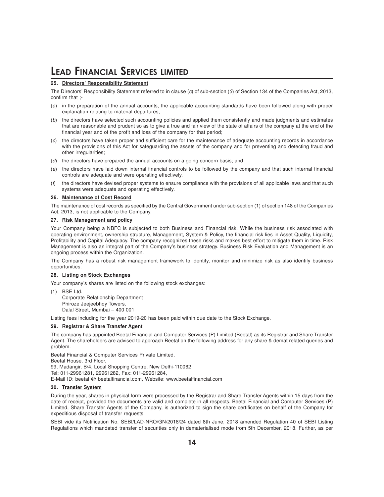#### **25. Directors' Responsibility Statement**

The Directors' Responsibility Statement referred to in clause (*c*) of sub-section (*3*) of Section 134 of the Companies Act, 2013, confirm that ;-

- (*a*) in the preparation of the annual accounts, the applicable accounting standards have been followed along with proper explanation relating to material departures;
- (*b*) the directors have selected such accounting policies and applied them consistently and made judgments and estimates that are reasonable and prudent so as to give a true and fair view of the state of affairs of the company at the end of the financial year and of the profit and loss of the company for that period;
- (*c*) the directors have taken proper and sufficient care for the maintenance of adequate accounting records in accordance with the provisions of this Act for safeguarding the assets of the company and for preventing and detecting fraud and other irregularities;
- (*d*) the directors have prepared the annual accounts on a going concern basis; and
- (*e*) the directors have laid down internal financial controls to be followed by the company and that such internal financial controls are adequate and were operating effectively.
- the directors have devised proper systems to ensure compliance with the provisions of all applicable laws and that such systems were adequate and operating effectively.

#### **26. Maintenance of Cost Record**

The maintenance of cost records as specified by the Central Government under sub-section (1) of section 148 of the Companies Act, 2013, is not applicable to the Company.

#### **27. Risk Management and policy**

Your Company being a NBFC is subjected to both Business and Financial risk. While the business risk associated with operating environment, ownership structure, Management, System & Policy, the financial risk lies in Asset Quality, Liquidity, Profitability and Capital Adequacy. The company recognizes these risks and makes best effort to mitigate them in time. Risk Management is also an integral part of the Company's business strategy. Business Risk Evaluation and Management is an ongoing process within the Organization.

The Company has a robust risk management framework to identify, monitor and minimize risk as also identify business opportunities.

#### **28. Listing on Stock Exchanges**

Your company's shares are listed on the following stock exchanges:

(1) BSE Ltd. Corporate Relationship Department Phiroze Jeejeebhoy Towers, Dalal Street, Mumbai – 400 001

Listing fees including for the year 2019-20 has been paid within due date to the Stock Exchange.

#### **29. Registrar & Share Transfer Agent**

The company has appointed Beetal Financial and Computer Services (P) Limited (Beetal) as its Registrar and Share Transfer Agent. The shareholders are advised to approach Beetal on the following address for any share & demat related queries and problem.

Beetal Financial & Computer Services Private Limited, Beetal House, 3rd Floor, 99, Madangir, B/4, Local Shopping Centre, New Delhi-110062 Tel: 011-29961281, 29961282, Fax: 011-29961284, E-Mail ID: beetal @ beetalfinancial.com, Website: www.beetalfinancial.com

#### **30. Transfer System**

During the year, shares in physical form were processed by the Registrar and Share Transfer Agents within 15 days from the date of receipt, provided the documents are valid and complete in all respects. Beetal Financial and Computer Services (P) Limited, Share Transfer Agents of the Company, is authorized to sign the share certificates on behalf of the Company for expeditious disposal of transfer requests.

SEBI vide its Notification No. SEBI/LAD-NRO/GN/2018/24 dated 8th June, 2018 amended Regulation 40 of SEBI Listing Regulations which mandated transfer of securities only in dematerialised mode from 5th December, 2018. Further, as per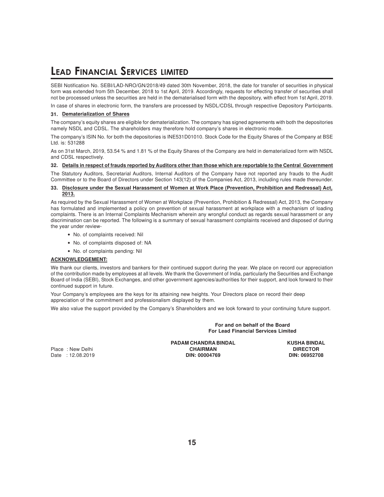SEBI Notification No. SEBI/LAD-NRO/GN/2018/49 dated 30th November, 2018, the date for transfer of securities in physical form was extended from 5th December, 2018 to 1st April, 2019. Accordingly, requests for effecting transfer of securities shall not be processed unless the securities are held in the dematerialised form with the depository, with effect from 1st April, 2019.

In case of shares in electronic form, the transfers are processed by NSDL/CDSL through respective Depository Participants.

#### **31. Dematerialization of Shares**

The company's equity shares are eligible for dematerialization. The company has signed agreements with both the depositories namely NSDL and CDSL. The shareholders may therefore hold company's shares in electronic mode.

The company's ISIN No. for both the depositories is INE531D01010. Stock Code for the Equity Shares of the Company at BSE Ltd. is: 531288

As on 31st March, 2019, 53.54 % and 1.81 % of the Equity Shares of the Company are held in dematerialized form with NSDL and CDSL respectively.

#### **32. Details in respect of frauds reported by Auditors other than those which are reportable to the Central Government**

The Statutory Auditors, Secretarial Auditors, Internal Auditors of the Company have not reported any frauds to the Audit Committee or to the Board of Directors under Section 143(12) of the Companies Act, 2013, including rules made thereunder.

### **33. Disclosure under the Sexual Harassment of Women at Work Place (Prevention, Prohibition and Redressal) Act, 2013.**

As required by the Sexual Harassment of Women at Workplace (Prevention, Prohibition & Redressal) Act, 2013, the Company has formulated and implemented a policy on prevention of sexual harassment at workplace with a mechanism of loading complaints. There is an Internal Complaints Mechanism wherein any wrongful conduct as regards sexual harassment or any discrimination can be reported. The following is a summary of sexual harassment complaints received and disposed of during the year under review-

- No. of complaints received: Nil
- No. of complaints disposed of: NA
- No. of complaints pending: Nil

#### **ACKNOWLEDGEMENT:**

We thank our clients, investors and bankers for their continued support during the year. We place on record our appreciation of the contribution made by employees at all levels. We thank the Government of India, particularly the Securities and Exchange Board of India (SEBI), Stock Exchanges, and other government agencies/authorities for their support, and look forward to their continued support in future.

Your Company's employees are the keys for its attaining new heights. Your Directors place on record their deep appreciation of the commitment and professionalism displayed by them.

We also value the support provided by the Company's Shareholders and we look forward to your continuing future support.

**For and on behalf of the Board For Lead Financial Services Limited**

Date : 12.08.2019

**PADAM CHANDRA BINDAL KUSHA BINDAL** Place : New Delhi **CHAIRMAN DIRECTOR**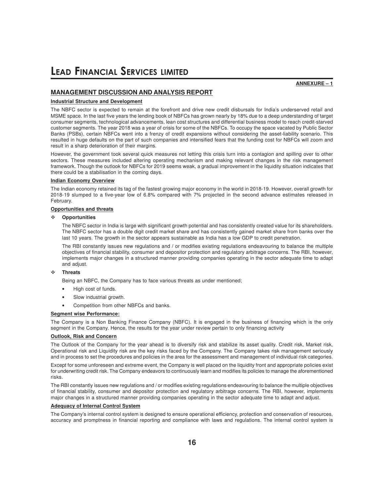### **MANAGEMENT DISCUSSION AND ANALYSIS REPORT**

#### **Industrial Structure and Development**

The NBFC sector is expected to remain at the forefront and drive new credit disbursals for India's underserved retail and MSME space. In the last five years the lending book of NBFCs has grown nearly by 18% due to a deep understanding of target consumer segments, technological advancements, lean cost structures and differential business model to reach credit-starved customer segments. The year 2018 was a year of crisis for some of the NBFCs. To occupy the space vacated by Public Sector Banks (PSBs), certain NBFCs went into a frenzy of credit expansions without considering the asset-liability scenario. This resulted in huge defaults on the part of such companies and intensified fears that the funding cost for NBFCs will zoom and result in a sharp deterioration of their margins.

However, the government took several quick measures not letting this crisis turn into a contagion and spilling over to other sectors. These measures included altering operating mechanism and making relevant changes in the risk management framework. Though the outlook for NBFCs for 2019 seems weak, a gradual improvement in the liquidity situation indicates that there could be a stabilisation in the coming days.

#### **Indian Economy Overview**

The Indian economy retained its tag of the fastest growing major economy in the world in 2018-19. However, overall growth for 2018-19 slumped to a five-year low of 6.8% compared with 7% projected in the second advance estimates released in February.

#### **Opportunities and threats**

#### v **Opportunities**

The NBFC sector in India is large with significant growth potential and has consistently created value for its shareholders. The NBFC sector has a double digit credit market share and has consistently gained market share from banks over the last 10 years. The growth in the sector appears sustainable as India has a low GDP to credit penetration.

The RBI constantly issues new regulations and / or modifies existing regulations endeavouring to balance the multiple objectives of financial stability, consumer and depositor protection and regulatory arbitrage concerns. The RBI, however, implements major changes in a structured manner providing companies operating in the sector adequate time to adapt and adjust.

#### v **Threats**

Being an NBFC, the Company has to face various threats as under mentioned;

- High cost of funds.
- Slow industrial growth.
- Competition from other NBFCs and banks.

#### **Segment wise Performance:**

The Company is a Non Banking Finance Company (NBFC). It is engaged in the business of financing which is the only segment in the Company. Hence, the results for the year under review pertain to only financing activity

#### **Outlook, Risk and Concern**

The Outlook of the Company for the year ahead is to diversify risk and stabilize its asset quality. Credit risk, Market risk, Operational risk and Liquidity risk are the key risks faced by the Company. The Company takes risk management seriously and in process to set the procedures and policies in the area for the assessment and management of individual risk categories.

Except for some unforeseen and extreme event, the Company is well placed on the liquidity front and appropriate policies exist for underwriting credit risk. The Company endeavors to continuously learn and modifies its policies to manage the aforementioned risks.

The RBI constantly issues new regulations and / or modifies existing regulations endeavouring to balance the multiple objectives of financial stability, consumer and depositor protection and regulatory arbitrage concerns. The RBI, however, implements major changes in a structured manner providing companies operating in the sector adequate time to adapt and adjust.

#### **Adequacy of Internal Control System**

The Company's internal control system is designed to ensure operational efficiency, protection and conservation of resources, accuracy and promptness in financial reporting and compliance with laws and regulations. The internal control system is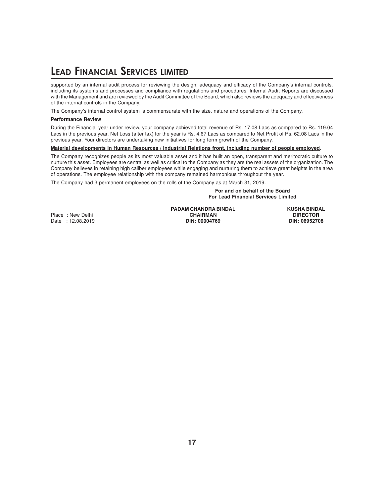supported by an internal audit process for reviewing the design, adequacy and efficacy of the Company's internal controls, including its systems and processes and compliance with regulations and procedures. Internal Audit Reports are discussed with the Management and are reviewed by the Audit Committee of the Board, which also reviews the adequacy and effectiveness of the internal controls in the Company.

The Company's internal control system is commensurate with the size, nature and operations of the Company.

#### **Performance Review**

During the Financial year under review, your company achieved total revenue of Rs. 17.08 Lacs as compared to Rs. 119.04 Lacs in the previous year. Net Loss (after tax) for the year is Rs. 4.67 Lacs as compared to Net Profit of Rs. 62.08 Lacs in the previous year. Your directors are undertaking new initiatives for long term growth of the Company.

#### **Material developments in Human Resources / Industrial Relations front, including number of people employed**.

The Company recognizes people as its most valuable asset and it has built an open, transparent and meritocratic culture to nurture this asset. Employees are central as well as critical to the Company as they are the real assets of the organization. The Company believes in retaining high caliber employees while engaging and nurturing them to achieve great heights in the area of operations. The employee relationship with the company remained harmonious throughout the year.

The Company had 3 permanent employees on the rolls of the Company as at March 31, 2019.

**For and on behalf of the Board For Lead Financial Services Limited**

Date : 12.08.2019

**PADAM CHANDRA BINDAL KUSHA BINDAL** Place : New Delhi **CHAIRMAN DIRECTOR**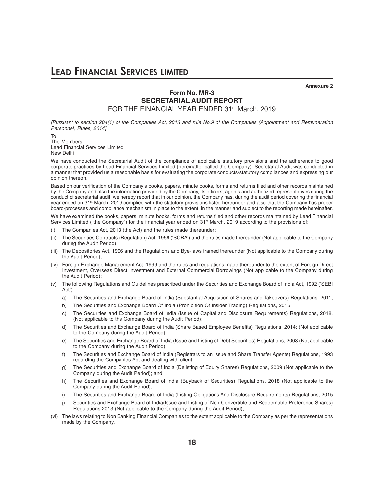**Annexure 2**

## **Form No. MR-3 SECRETARIAL AUDIT REPORT** FOR THE FINANCIAL YEAR ENDED 31st March, 2019

*[Pursuant to section 204(1) of the Companies Act, 2013 and rule No.9 of the Companies (Appointment and Remuneration Personnel) Rules, 2014]*

To, The Members, Lead Financial Services Limited New Delhi

We have conducted the Secretarial Audit of the compliance of applicable statutory provisions and the adherence to good corporate practices by Lead Financial Services Limited (hereinafter called the Company). Secretarial Audit was conducted in a manner that provided us a reasonable basis for evaluating the corporate conducts/statutory compliances and expressing our opinion thereon.

Based on our verification of the Company's books, papers, minute books, forms and returns filed and other records maintained by the Company and also the information provided by the Company, its officers, agents and authorized representatives during the conduct of secretarial audit, we hereby report that in our opinion, the Company has, during the audit period covering the financial year ended on 31<sup>st</sup> March, 2019 complied with the statutory provisions listed hereunder and also that the Company has proper board-processes and compliance mechanism in place to the extent, in the manner and subject to the reporting made hereinafter.

We have examined the books, papers, minute books, forms and returns filed and other records maintained by Lead Financial Services Limited ("the Company") for the financial year ended on 31<sup>st</sup> March, 2019 according to the provisions of:

- (i) The Companies Act, 2013 (the Act) and the rules made thereunder;
- (ii) The Securities Contracts (Regulation) Act, 1956 ('SCRA') and the rules made thereunder (Not applicable to the Company during the Audit Period);
- (iii) The Depositories Act, 1996 and the Regulations and Bye-laws framed thereunder (Not applicable to the Company during the Audit Period);
- (iv) Foreign Exchange Management Act, 1999 and the rules and regulations made thereunder to the extent of Foreign Direct Investment, Overseas Direct Investment and External Commercial Borrowings (Not applicable to the Company during the Audit Period);
- (v) The following Regulations and Guidelines prescribed under the Securities and Exchange Board of India Act, 1992 ('SEBI Act'):
	- a) The Securities and Exchange Board of India (Substantial Acquisition of Shares and Takeovers) Regulations, 2011;
	- b) The Securities and Exchange Board Of India (Prohibition Of Insider Trading) Regulations, 2015;
	- c) The Securities and Exchange Board of India (Issue of Capital and Disclosure Requirements) Regulations, 2018, (Not applicable to the Company during the Audit Period);
	- d) The Securities and Exchange Board of India (Share Based Employee Benefits) Regulations, 2014; (Not applicable to the Company during the Audit Period);
	- e) The Securities and Exchange Board of India (Issue and Listing of Debt Securities) Regulations, 2008 (Not applicable to the Company during the Audit Period);
	- f) The Securities and Exchange Board of India (Registrars to an Issue and Share Transfer Agents) Regulations, 1993 regarding the Companies Act and dealing with client;
	- g) The Securities and Exchange Board of India (Delisting of Equity Shares) Regulations, 2009 (Not applicable to the Company during the Audit Period); and
	- h) The Securities and Exchange Board of India (Buyback of Securities) Regulations, 2018 (Not applicable to the Company during the Audit Period);
	- i) The Securities and Exchange Board of India (Listing Obligations And Disclosure Requirements) Regulations, 2015
	- j) Securities and Exchange Board of India(Issue and Listing of Non-Convertible and Redeemable Preference Shares) Regulations,2013 (Not applicable to the Company during the Audit Period);
- (vi) The laws relating to Non Banking Financial Companies to the extent applicable to the Company as per the representations made by the Company.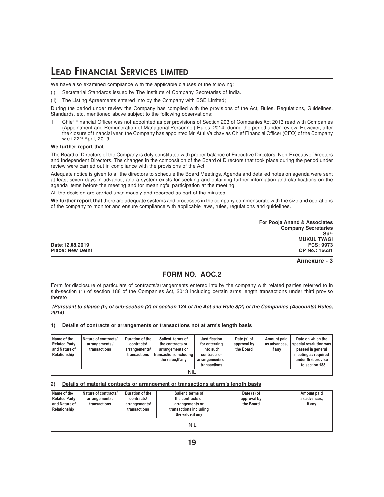We have also examined compliance with the applicable clauses of the following:

- (i) Secretarial Standards issued by The Institute of Company Secretaries of India.
- (ii) The Listing Agreements entered into by the Company with BSE Limited;

During the period under review the Company has complied with the provisions of the Act, Rules, Regulations, Guidelines, Standards, etc. mentioned above subject to the following observations:

1 Chief Financial Officer was not appointed as per provisions of Section 203 of Companies Act 2013 read with Companies (Appointment and Remuneration of Managerial Personnel) Rules, 2014, during the period under review. However, after the closure of financial year, the Company has appointed Mr. Atul Vaibhav as Chief Financial Officer (CFO) of the Company w.e.f 22nd April, 2019.

#### **We further report that**

The Board of Directors of the Company is duly constituted with proper balance of Executive Directors, Non-Executive Directors and Independent Directors. The changes in the composition of the Board of Directors that took place during the period under review were carried out in compliance with the provisions of the Act.

Adequate notice is given to all the directors to schedule the Board Meetings, Agenda and detailed notes on agenda were sent at least seven days in advance, and a system exists for seeking and obtaining further information and clarifications on the agenda items before the meeting and for meaningful participation at the meeting.

All the decision are carried unanimously and recorded as part of the minutes.

**We further report that** there are adequate systems and processes in the company commensurate with the size and operations of the company to monitor and ensure compliance with applicable laws, rules, regulations and guidelines.

|                         | <b>For Pooja Anand &amp; Associates</b> |
|-------------------------|-----------------------------------------|
|                         | <b>Company Secretaries</b>              |
|                         | Sd                                      |
|                         | <b>MUKUL TYAGI</b>                      |
| Date:12.08.2019         | <b>FCS: 9973</b>                        |
| <b>Place: New Delhi</b> | <b>CP No.: 16631</b>                    |

**Annexure - 3**

### **FORM NO. AOC.2**

Form for disclosure of particulars of contracts/arrangements entered into by the company with related parties referred to in sub-section (1) of section 188 of the Companies Act, 2013 including certain arms length transactions under third proviso thereto

#### **(Pursuant to clause (h) of sub-section (3) of section 134 of the Act and Rule 8(2) of the Companies (Accounts) Rules, 2014)**

#### **1) Details of contracts or arrangements or transactions not at arm's length basis**

| Name of the<br><b>Related Party</b><br>and Nature of<br>Relationship | Nature of contracts/<br>arrangements /<br>transactions | Duration of the<br>contracts/<br>arrangements/<br>transactions | Salient terms of<br>the contracts or<br>arrangements or<br>transactions including<br>the value.if any | Justification<br>for enterning<br>into such<br>contracts or<br>arrangements or<br>transactions | Date (s) of<br>approval by<br>the Board | Amount paid<br>as advances.<br>if any | Date on which the<br>special resolution was<br>passed in general<br>meeting as required<br>under first proviso<br>to section 188 |  |  |
|----------------------------------------------------------------------|--------------------------------------------------------|----------------------------------------------------------------|-------------------------------------------------------------------------------------------------------|------------------------------------------------------------------------------------------------|-----------------------------------------|---------------------------------------|----------------------------------------------------------------------------------------------------------------------------------|--|--|
| NIL                                                                  |                                                        |                                                                |                                                                                                       |                                                                                                |                                         |                                       |                                                                                                                                  |  |  |

#### **2) Details of material contracts or arrangement or transactions at arm's length basis**

| Name of the<br><b>Related Party</b><br>and Nature of<br>Relationship | Nature of contracts/<br>arrangements /<br>transactions | Duration of the<br>contracts/<br>arrangements/<br>transactions | Salient terms of<br>the contracts or<br>arrangements or<br>transactions including<br>the value.if any | Date (s) of<br>approval by<br>the Board | Amount paid<br>as advances,<br>if any |  |  |  |
|----------------------------------------------------------------------|--------------------------------------------------------|----------------------------------------------------------------|-------------------------------------------------------------------------------------------------------|-----------------------------------------|---------------------------------------|--|--|--|
| NIL                                                                  |                                                        |                                                                |                                                                                                       |                                         |                                       |  |  |  |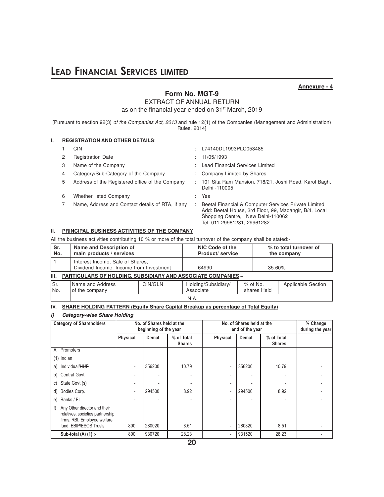**Annexure - 4**

### **Form No. MGT-9** EXTRACT OF ANNUAL RETURN as on the financial year ended on 31<sup>st</sup> March, 2019

[Pursuant to section 92(3) *of the Companies Act, 2013* and rule 12(1) of the Companies (Management and Administration) Rules, 2014]

|   | <b>REGISTRATION AND OTHER DETAILS:</b>           |   |                                                                                                                                                                                    |
|---|--------------------------------------------------|---|------------------------------------------------------------------------------------------------------------------------------------------------------------------------------------|
|   | CIN                                              | ÷ | L74140DL1993PLC053485                                                                                                                                                              |
| 2 | <b>Registration Date</b>                         | ÷ | 11/05/1993                                                                                                                                                                         |
| 3 | Name of the Company                              |   | : Lead Financial Services Limited                                                                                                                                                  |
| 4 | Category/Sub-Category of the Company             |   | : Company Limited by Shares                                                                                                                                                        |
| 5 | Address of the Registered office of the Company  |   | : 101 Sita Ram Mansion, 718/21, Joshi Road, Karol Bagh,<br>Delhi -110005                                                                                                           |
| 6 | Whether listed Company                           |   | Yes                                                                                                                                                                                |
|   | Name, Address and Contact details of RTA, If any |   | Beetal Financial & Computer Services Private Limited<br>Add: Beetal House, 3rd Floor, 99, Madangir, B/4, Local<br>Shopping Centre, New Delhi-110062<br>Tel: 011-29961281, 29961282 |

### **II. PRINCIPAL BUSINESS ACTIVITIES OF THE COMPANY**

All the business activities contributing 10 % or more of the total turnover of the company shall be stated:-

| ! Sr. | Name and Description of                                                     | NIC Code of the  | % to total turnover of |
|-------|-----------------------------------------------------------------------------|------------------|------------------------|
| No.   | main products / services                                                    | Product/ service | the company            |
|       | Interest Income, Sale of Shares,<br>Dividend Income, Income from Investment | 64990            | 35.60%                 |

### **III. PARTICULARS OF HOLDING, SUBSIDIARY AND ASSOCIATE COMPANIES –**

| ISr.<br>IN <sub>o</sub> | Name and Address<br>lof the companv | CIN/GLN | Holding/Subsidiary<br>Associate | % of No.<br>shares Held | Applicable Section |
|-------------------------|-------------------------------------|---------|---------------------------------|-------------------------|--------------------|
|                         |                                     |         |                                 |                         |                    |

### **IV. SHARE HOLDING PATTERN (Equity Share Capital Breakup as percentage of Total Equity)**

#### **i) Category-wise Share Holding**

| <b>Category of Shareholders</b>                                                                        | No. of Shares held at the<br>beginning of the year |        | No. of Shares held at the<br>end of the year |          | % Change<br>during the year |                             |  |
|--------------------------------------------------------------------------------------------------------|----------------------------------------------------|--------|----------------------------------------------|----------|-----------------------------|-----------------------------|--|
|                                                                                                        | Physical                                           | Demat  | % of Total<br><b>Shares</b>                  | Physical | Demat                       | % of Total<br><b>Shares</b> |  |
| A. Promoters                                                                                           |                                                    |        |                                              |          |                             |                             |  |
| (1)<br>Indian                                                                                          |                                                    |        |                                              |          |                             |                             |  |
| a) Individual/HUF                                                                                      |                                                    | 356200 | 10.79                                        |          | 356200                      | 10.79                       |  |
| b) Central Govt                                                                                        |                                                    |        |                                              |          |                             |                             |  |
| State Govt (s)<br>C)                                                                                   |                                                    |        |                                              |          |                             |                             |  |
| Bodies Corp.<br>d)                                                                                     | $\overline{\phantom{a}}$                           | 294500 | 8.92                                         | ٠        | 294500                      | 8.92                        |  |
| Banks / FI<br>e)                                                                                       |                                                    |        |                                              |          |                             |                             |  |
| Any Other director and their<br>f)<br>relatives, societies partnership<br>firms, RBI, Employee welfare |                                                    |        |                                              |          |                             |                             |  |
| fund, EBIP/ESOS Trusts                                                                                 | 800                                                | 280020 | 8.51                                         |          | 280820                      | 8.51                        |  |
| Sub-total $(A)$ $(1)$ :-                                                                               | 800                                                | 930720 | 28.23                                        |          | 931520                      | 28.23                       |  |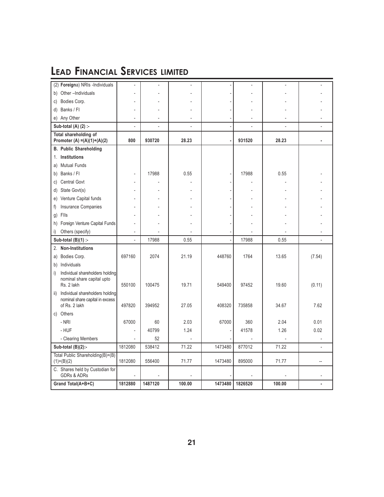| (2) Foreigna) NRIs -Individuals                                                            | $\overline{\phantom{a}}$ | ÷,      | $\overline{a}$ |         | ÷,      |        |        |
|--------------------------------------------------------------------------------------------|--------------------------|---------|----------------|---------|---------|--------|--------|
| b) Other -Individuals                                                                      |                          |         |                |         |         |        |        |
| Bodies Corp.<br>C)                                                                         |                          |         |                |         |         |        |        |
| Banks / Fl<br>d)                                                                           |                          |         |                |         |         |        |        |
| e) Any Other                                                                               | $\overline{a}$           |         |                |         |         |        |        |
| Sub-total (A) (2) :-                                                                       |                          |         |                |         |         |        |        |
| <b>Total shareholding of</b><br>Promoter (A) = $(A)(1)+(A)(2)$                             | 800                      | 930720  | 28.23          |         | 931520  | 28.23  |        |
| <b>B. Public Shareholding</b>                                                              |                          |         |                |         |         |        |        |
| 1. Institutions                                                                            |                          |         |                |         |         |        |        |
| <b>Mutual Funds</b><br>a)                                                                  |                          |         |                |         |         |        |        |
| b) Banks / Fl                                                                              | $\overline{\phantom{a}}$ | 17988   | 0.55           |         | 17988   | 0.55   |        |
| Central Govt<br>C)                                                                         |                          |         |                |         |         |        |        |
| State Govt(s)<br>d)                                                                        |                          |         |                |         |         |        |        |
| Venture Capital funds<br>e)                                                                |                          |         |                |         |         |        |        |
| Insurance Companies<br>f)                                                                  |                          |         |                |         |         |        |        |
| Flls<br>g)                                                                                 |                          |         |                |         |         |        |        |
| Foreign Venture Capital Funds<br>h)                                                        |                          |         |                |         |         |        |        |
| i)<br>Others (specify)                                                                     | ÷,                       |         |                |         |         |        |        |
| Sub-total $(B)(1)$ :-                                                                      | $\overline{\phantom{a}}$ | 17988   | 0.55           |         | 17988   | 0.55   |        |
| 2. Non-Institutions                                                                        |                          |         |                |         |         |        |        |
| Bodies Corp.<br>a)                                                                         | 697160                   | 2074    | 21.19          | 448760  | 1764    | 13.65  | (7.54) |
| Individuals<br>b)                                                                          |                          |         |                |         |         |        |        |
| Individual shareholders holding<br>i)<br>nominal share capital upto<br>Rs. 2 lakh          | 550100                   | 100475  | 19.71          | 549400  | 97452   | 19.60  | (0.11) |
| Individual shareholders holding<br>ii)<br>nominal share capital in excess<br>of Rs. 2 lakh | 497820                   | 394952  | 27.05          | 408320  | 735858  | 34.67  | 7.62   |
| c) Others                                                                                  |                          |         |                |         |         |        |        |
| - NRI                                                                                      | 67000                    | 60      | 2.03           | 67000   | 360     | 2.04   | 0.01   |
| - HUF                                                                                      |                          | 40799   | 1.24           |         | 41578   | 1.26   | 0.02   |
| - Clearing Members                                                                         |                          | 52      |                |         |         |        |        |
| Sub-total (B)(2):-                                                                         | 1812080                  | 538412  | 71.22          | 1473480 | 877012  | 71.22  |        |
| Total Public Shareholding(B)=(B)<br>$(1)+(B)(2)$                                           | 1812080                  | 556400  | 71.77          | 1473480 | 895000  | 71.77  |        |
| C. Shares held by Custodian for<br><b>GDRs &amp; ADRs</b>                                  |                          |         |                |         |         |        |        |
| Grand Total(A+B+C)                                                                         | 1812880                  | 1487120 | 100.00         | 1473480 | 1826520 | 100.00 |        |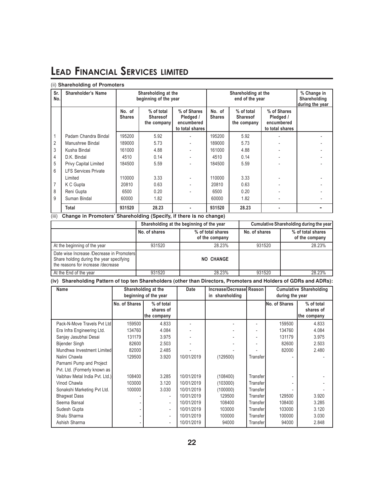### (ii) **Shareholding of Promoters**

| Sr.<br>No.     | Shareholder's Name           |                         | Shareholding at the<br>beginning of the year |                                                           |                         | Shareholding at the<br>end of the year       | % Change in<br>Shareholding<br>during the year            |  |
|----------------|------------------------------|-------------------------|----------------------------------------------|-----------------------------------------------------------|-------------------------|----------------------------------------------|-----------------------------------------------------------|--|
|                |                              | No. of<br><b>Shares</b> | % of total<br><b>Sharesof</b><br>the company | % of Shares<br>Pledged /<br>encumbered<br>to total shares | No. of<br><b>Shares</b> | % of total<br><b>Sharesof</b><br>the company | % of Shares<br>Pledged /<br>encumbered<br>to total shares |  |
| $\mathbf{1}$   | Padam Chandra Bindal         | 195200                  | 5.92                                         |                                                           | 195200                  | 5.92                                         |                                                           |  |
| $\overline{2}$ | Manushree Bindal             | 189000                  | 5.73                                         |                                                           | 189000                  | 5.73                                         |                                                           |  |
| 3              | Kusha Bindal                 | 161000                  | 4.88                                         |                                                           | 161000                  | 4.88                                         |                                                           |  |
| 4              | D.K. Bindal                  | 4510                    | 0.14                                         |                                                           | 4510                    | 0.14                                         |                                                           |  |
| 5              | <b>Privy Capital Limited</b> | 184500                  | 5.59                                         |                                                           | 184500                  | 5.59                                         |                                                           |  |
| 6              | <b>LFS Services Private</b>  |                         |                                              |                                                           |                         |                                              |                                                           |  |
|                | Limited                      | 110000                  | 3.33                                         |                                                           | 110000                  | 3.33                                         |                                                           |  |
| $\overline{7}$ | K C Gupta                    | 20810                   | 0.63                                         |                                                           | 20810                   | 0.63                                         |                                                           |  |
| 8              | Reni Gupta                   | 6500                    | 0.20                                         |                                                           | 6500                    | 0.20                                         |                                                           |  |
| 9              | Suman Bindal                 | 60000                   | 1.82                                         |                                                           | 60000                   | 1.82                                         |                                                           |  |
|                | Total                        | 931520                  | 28.23                                        |                                                           | 931520                  | 28.23                                        |                                                           |  |

## (iii) **Change in Promoters' Shareholding (Specify, if there is no change)**

|                                                                                                                             |                                                      | Shareholding at the beginning of the year | Cumulative Shareholding during the year |                                     |  |
|-----------------------------------------------------------------------------------------------------------------------------|------------------------------------------------------|-------------------------------------------|-----------------------------------------|-------------------------------------|--|
|                                                                                                                             | % of total shares<br>No. of shares<br>of the company |                                           | No. of shares                           | % of total shares<br>of the company |  |
| At the beginning of the year                                                                                                | 931520                                               | 28.23%                                    | 931520                                  | 28.23%                              |  |
| Date wise Increase /Decrease in Promoters<br>Share holding during the year specifying<br>the reasons for increase /decrease |                                                      | <b>NO CHANGE</b>                          |                                         |                                     |  |
| At the End of the year                                                                                                      | 931520                                               | 28.23%                                    | 931520                                  | 28.23%                              |  |

### **(iv) Shareholding Pattern of top ten Shareholders (other than Directors, Promoters and Holders of GDRs and ADRs):**

| Name                           | Shareholding at the<br>beginning of the year |                          | Date       | Increase/Decreasel Reason<br>in shareholding |          | <b>Cumulative Shareholding</b><br>during the year |             |
|--------------------------------|----------------------------------------------|--------------------------|------------|----------------------------------------------|----------|---------------------------------------------------|-------------|
|                                |                                              |                          |            |                                              |          |                                                   |             |
|                                | No. of Shares                                | % of total               |            |                                              |          | <b>No. of Shares</b>                              | % of total  |
|                                |                                              | shares of                |            |                                              |          |                                                   | shares of   |
|                                |                                              | the company              |            |                                              |          |                                                   | the company |
| Pack-N-Move Travels Pvt Ltd    | 159500                                       | 4.833                    |            |                                              |          | 159500                                            | 4.833       |
| Era Infra Engineering Ltd.     | 134760                                       | 4.084                    |            |                                              |          | 134760                                            | 4.084       |
| Sanjay Jasubhai Desai          | 131179                                       | 3.975                    |            |                                              |          | 131179                                            | 3.975       |
| <b>Bijender Singh</b>          | 82600                                        | 2.503                    |            |                                              |          | 82600                                             | 2.503       |
| Mundhwa Investment Limited     | 82000                                        | 2.485                    |            |                                              |          | 82000                                             | 2.480       |
| Nalini Chawla                  | 129500                                       | 3.920                    | 10/01/2019 | (129500)                                     | Transfer |                                                   |             |
| Parnami Pump and Project       |                                              |                          |            |                                              |          |                                                   |             |
| Pvt. Ltd. (Formerly known as   |                                              |                          |            |                                              |          |                                                   |             |
| Vaibhav Metal India Pvt. Ltd.) | 108400                                       | 3.285                    | 10/01/2019 | (108400)                                     | Transfer |                                                   |             |
| Vinod Chawla                   | 103000                                       | 3.120                    | 10/01/2019 | (103000)                                     | Transfer |                                                   |             |
| Sonakshi Marketing Pvt Ltd.    | 100000                                       | 3.030                    | 10/01/2019 | (100000)                                     | Transfer |                                                   |             |
| <b>Bhagwat Dass</b>            |                                              |                          | 10/01/2019 | 129500                                       | Transfer | 129500                                            | 3.920       |
| Seema Bansal                   |                                              | $\overline{\phantom{a}}$ | 10/01/2019 | 108400                                       | Transfer | 108400                                            | 3.285       |
| Sudesh Gupta                   |                                              | $\overline{\phantom{a}}$ | 10/01/2019 | 103000                                       | Transfer | 103000                                            | 3.120       |
| Shalu Sharma                   |                                              | $\overline{\phantom{a}}$ | 10/01/2019 | 100000                                       | Transfer | 100000                                            | 3.030       |
| Ashish Sharma                  |                                              | $\overline{\phantom{a}}$ | 10/01/2019 | 94000                                        | Transfer | 94000                                             | 2.848       |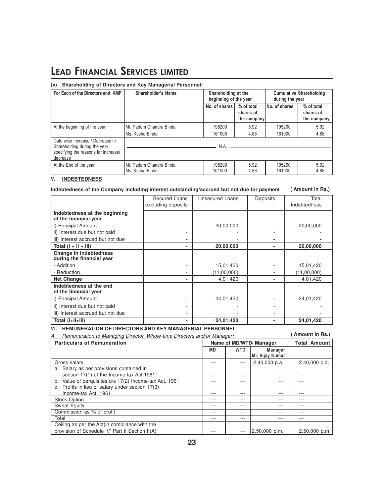### **(v) Shareholding of Directors and Key Managerial Personnel:**

| For Each of the Directors and KMP                                                                                    | Shareholder's Name                             | Shareholding at the<br>beginning of the year |                                        | <b>Cumulative Shareholding</b><br>during the year |                                        |  |
|----------------------------------------------------------------------------------------------------------------------|------------------------------------------------|----------------------------------------------|----------------------------------------|---------------------------------------------------|----------------------------------------|--|
|                                                                                                                      |                                                | No. of shares                                | % of total<br>shares of<br>the company | No. of shares                                     | % of total<br>shares of<br>the company |  |
| At the beginning of the year                                                                                         | Mr. Padam Chandra Bindal<br>Ms. Kusha Bindal   | 195200<br>161000                             | 5.92<br>4.88                           | 195200<br>161000                                  | 5.92<br>4.88                           |  |
| Date wise Increase / Decrease in<br>Shareholding during the year<br>specifying the reasons for increase/<br>decrease |                                                | N.A.                                         |                                        |                                                   |                                        |  |
| At the End of the year                                                                                               | IMr. Padam Chandra Bindal<br>IMs. Kusha Bindal | 195200<br>161000                             | 5.92<br>4.88                           | 195200<br>161000                                  | 5.92<br>4.88                           |  |

#### **V. INDEBTEDNESS**

### **Indebtedness of the Company including interest outstanding/accrued but not due for payment**

**( Amount in Rs.)**

|                                                            | Secured Loans<br>excluding deposits | <b>Unsecured Loans</b> | Deposits | Total<br>Indebtedness |
|------------------------------------------------------------|-------------------------------------|------------------------|----------|-----------------------|
| Indebtedness at the beginning<br>of the financial year     |                                     |                        |          |                       |
| i) Principal Amount                                        |                                     | 20,00,000              |          | 20,00,000             |
| ii) Interest due but not paid                              |                                     |                        |          |                       |
| iii) Interest accrued but not due                          | ٠                                   |                        |          |                       |
| Total $(i + ii + iii)$                                     | -                                   | 20,00,000              |          | 20,00,000             |
| <b>Change in Indebtedness</b><br>during the financial year |                                     |                        |          |                       |
| · Addition                                                 |                                     | 15,01,420              |          | 15,01,420             |
| · Reduction                                                |                                     | (11,00,000)            |          | (11,00,000)           |
| <b>Net Change</b>                                          | ۰                                   | 4,01,420               |          | 4,01,420              |
| Indebtedness at the end<br>of the financial year           |                                     |                        |          |                       |
| i) Principal Amount                                        |                                     | 24,01,420              |          | 24,01,420             |
| ii) Interest due but not paid                              |                                     |                        |          |                       |
| iii) Interest accrued but not due                          | ۰                                   |                        |          |                       |
| Total (i+ii+iii)                                           | ٠                                   | 24,01,420              |          | 24,01,420             |

### **VI. REMUNERATION OF DIRECTORS AND KEY MANAGERIAL PERSONNEL**

*A. Remuneration to Managing Director, Whole-time Directors and/or Manager***: ( Amount in Rs.)**

| <b>Particulars of Remuneration</b>                     | Name of MD/WTD/ Manager |            |                            |               |  |  |
|--------------------------------------------------------|-------------------------|------------|----------------------------|---------------|--|--|
|                                                        | MD                      | <b>WTD</b> | Manager<br>Mr. Vijay Kumar |               |  |  |
| Gross salary                                           |                         | ---        | 2,40,000 p.a.              | 2,40,000 p.a. |  |  |
| a. Salary as per provisions contained in               |                         |            |                            |               |  |  |
| section 17(1) of the Income-tax Act, 1961              |                         |            |                            |               |  |  |
| b. Value of perquisites u/s 17(2) Income-tax Act, 1961 |                         |            | ---                        |               |  |  |
| c. Profits in lieu of salary under section 17(3)       |                         |            |                            |               |  |  |
| Income-tax Act, 1961                                   | $- - -$                 | ---        | $- - -$                    | $- - -$       |  |  |
| <b>Stock Option</b>                                    | ---                     | ---        | $- - -$                    | $- - -$       |  |  |
| <b>Sweat Equity</b>                                    | ---                     | ---        | $- - -$                    | ---           |  |  |
| Commission-as % of profit                              | ---                     | ---        | $- - -$                    | ---           |  |  |
| Total                                                  | $- - -$                 | ---        | $- - -$                    | $- - -$       |  |  |
| Ceiling as per the Act (in compliance with the         |                         |            |                            |               |  |  |
| provision of Schedule 'V' Part II Section II(A)        |                         | ---        | 2,50,000 p.m.              | 2,50,000 p.m. |  |  |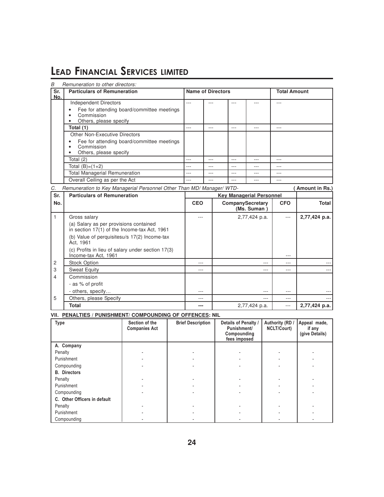| В<br>Remuneration to other directors: |                                                                                                                                 |                          |       |  |                |                                        |                     |                 |
|---------------------------------------|---------------------------------------------------------------------------------------------------------------------------------|--------------------------|-------|--|----------------|----------------------------------------|---------------------|-----------------|
| Sr.<br>No.                            | <b>Particulars of Remuneration</b>                                                                                              | <b>Name of Directors</b> |       |  |                |                                        | <b>Total Amount</b> |                 |
|                                       | <b>Independent Directors</b><br>Fee for attending board/committee meetings<br>Commission<br>Others, please specify<br>$\bullet$ | $\overline{a}$           |       |  |                |                                        | ---                 |                 |
|                                       | Total (1)                                                                                                                       | $\overline{a}$           | $---$ |  | $---$          | ---                                    | $---$               |                 |
|                                       | Other Non-Executive Directors<br>Fee for attending board/committee meetings<br>Commission<br>Others, please specify             |                          |       |  |                |                                        |                     |                 |
|                                       | Total (2)                                                                                                                       | ---                      | $---$ |  | $\overline{a}$ | ---                                    | ---                 |                 |
|                                       | Total $(B)=(1+2)$                                                                                                               | $---$                    | ---   |  | $---$          | $\sim$                                 | $\overline{a}$      |                 |
|                                       | <b>Total Managerial Remuneration</b>                                                                                            | $\overline{a}$           | ---   |  | $- - -$        | $- - -$                                | ---                 |                 |
|                                       | Overall Ceiling as per the Act                                                                                                  | $\sim$                   | ---   |  | $-$            | $- - -$                                | $- - -$             |                 |
| C.                                    | Remuneration to Key Managerial Personnel Other Than MD/ Manager/ WTD-                                                           |                          |       |  |                |                                        |                     | (Amount in Rs.) |
| Sr.                                   | <b>Particulars of Remuneration</b>                                                                                              |                          |       |  |                | <b>Key Managerial Personnel</b>        |                     |                 |
| No.                                   |                                                                                                                                 | <b>CEO</b>               |       |  |                | <b>CompanySecretary</b><br>(Ms. Suman) | <b>CFO</b>          | <b>Total</b>    |
| $\mathbf{1}$                          | Gross salary                                                                                                                    |                          |       |  |                | 2,77,424 p.a.                          | ---                 | 2,77,424 p.a.   |
|                                       | (a) Salary as per provisions contained<br>in section 17(1) of the Income-tax Act, 1961                                          |                          |       |  |                |                                        |                     |                 |
|                                       | (b) Value of perquisitesu/s 17(2) Income-tax<br>Act. 1961                                                                       |                          |       |  |                |                                        |                     |                 |
|                                       | (c) Profits in lieu of salary under section 17(3)<br>Income-tax Act, 1961                                                       |                          |       |  |                |                                        | ---                 |                 |
| 2                                     | Stock Option                                                                                                                    | $- - -$                  |       |  |                | $- - -$                                | ---                 |                 |
| 3                                     | <b>Sweat Equity</b>                                                                                                             | ---                      |       |  |                | $---$                                  | $---$               |                 |
| 4                                     | Commission                                                                                                                      |                          |       |  |                |                                        |                     |                 |
|                                       | - as % of profit                                                                                                                |                          |       |  |                |                                        |                     |                 |
|                                       | - others, specify                                                                                                               | ---                      |       |  |                | $---$                                  | ---                 |                 |
| 5                                     | Others, please Specify                                                                                                          | ---                      |       |  |                | $- - -$                                | ---                 |                 |
|                                       | <b>Total</b>                                                                                                                    | ---                      |       |  |                | 2,77,424 p.a.                          | $---$               | 2,77,424 p.a.   |

## **VII. PENALTIES / PUNISHMENT/ COMPOUNDING OF OFFENCES: NIL**

| <b>Type</b>                  | Section of the<br><b>Companies Act</b> | <b>Brief Description</b> | Details of Penalty<br>Punishment/<br>Compounding<br>fees imposed | Authority (RD /<br><b>NCLT/Court)</b> | Appeal made,<br>if any<br>(give Details) |
|------------------------------|----------------------------------------|--------------------------|------------------------------------------------------------------|---------------------------------------|------------------------------------------|
| A. Company                   |                                        |                          |                                                                  |                                       |                                          |
| Penalty                      |                                        |                          |                                                                  |                                       |                                          |
| Punishment                   |                                        |                          |                                                                  |                                       |                                          |
| Compounding                  |                                        |                          |                                                                  |                                       |                                          |
| <b>B.</b> Directors          |                                        |                          |                                                                  |                                       |                                          |
| Penalty                      |                                        |                          |                                                                  |                                       |                                          |
| Punishment                   |                                        |                          |                                                                  |                                       |                                          |
| Compounding                  |                                        |                          |                                                                  |                                       |                                          |
| C. Other Officers in default |                                        |                          |                                                                  |                                       |                                          |
| Penalty                      |                                        |                          |                                                                  |                                       |                                          |
| Punishment                   |                                        |                          |                                                                  |                                       |                                          |
| Compounding                  |                                        |                          |                                                                  |                                       |                                          |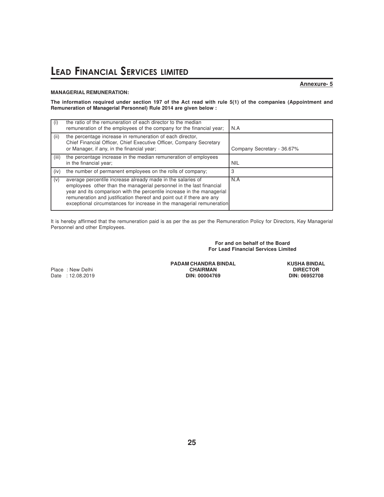#### **MANAGERIAL REMUNERATION:**

#### **Annexure- 5**

**The information required under section 197 of the Act read with rule 5(1) of the companies (Appointment and Remuneration of Managerial Personnel) Rule 2014 are given below :**

| $\left( 1\right)$ | the ratio of the remuneration of each director to the median<br>remuneration of the employees of the company for the financial year;                                                                                                                                                                                                                           | N.A                        |
|-------------------|----------------------------------------------------------------------------------------------------------------------------------------------------------------------------------------------------------------------------------------------------------------------------------------------------------------------------------------------------------------|----------------------------|
| (ii)              | the percentage increase in remuneration of each director,<br>Chief Financial Officer, Chief Executive Officer, Company Secretary<br>or Manager, if any, in the financial year;                                                                                                                                                                                 | Company Secretary - 36.67% |
| (iii)             | the percentage increase in the median remuneration of employees<br>in the financial year;                                                                                                                                                                                                                                                                      | <b>NIL</b>                 |
| (iv)              | the number of permanent employees on the rolls of company;                                                                                                                                                                                                                                                                                                     | 3                          |
| (v)               | average percentile increase already made in the salaries of<br>employees other than the managerial personnel in the last financial<br>year and its comparison with the percentile increase in the managerial<br>remuneration and justification thereof and point out if there are any<br>exceptional circumstances for increase in the managerial remuneration | N.A                        |

It is hereby affirmed that the remuneration paid is as per the as per the Remuneration Policy for Directors, Key Managerial Personnel and other Employees.

#### **For and on behalf of the Board For Lead Financial Services Limited**

Date : 12.08.2019

**PADAM CHANDRA BINDAL KUSHA BINDAL** Place : New Delhi **CHAIRMAN DIRECTOR**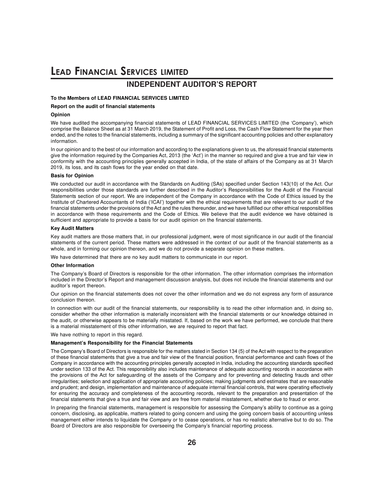## **LEAD FINANCIAL SERVICES LIMITED INDEPENDENT AUDITOR'S REPORT**

#### **To the Members of LEAD FINANCIAL SERVICES LIMITED**

#### **Report on the audit of financial statements**

#### **Opinion**

We have audited the accompanying financial statements of LEAD FINANCIAL SERVICES LIMITED (the 'Company'), which comprise the Balance Sheet as at 31 March 2019, the Statement of Profit and Loss, the Cash Flow Statement for the year then ended, and the notes to the financial statements, including a summary of the significant accounting policies and other explanatory information.

In our opinion and to the best of our information and according to the explanations given to us, the aforesaid financial statements give the information required by the Companies Act, 2013 (the 'Act') in the manner so required and give a true and fair view in conformity with the accounting principles generally accepted in India, of the state of affairs of the Company as at 31 March 2019, its loss, and its cash flows for the year ended on that date.

#### **Basis for Opinion**

We conducted our audit in accordance with the Standards on Auditing (SAs) specified under Section 143(10) of the Act. Our responsibilities under those standards are further described in the Auditor's Responsibilities for the Audit of the Financial Statements section of our report. We are independent of the Company in accordance with the Code of Ethics issued by the Institute of Chartered Accountants of India ('ICAI') together with the ethical requirements that are relevant to our audit of the financial statements under the provisions of the Act and the rules thereunder, and we have fulfilled our other ethical responsibilities in accordance with these requirements and the Code of Ethics. We believe that the audit evidence we have obtained is sufficient and appropriate to provide a basis for our audit opinion on the financial statements.

#### **Key Audit Matters**

Key audit matters are those matters that, in our professional judgment, were of most significance in our audit of the financial statements of the current period. These matters were addressed in the context of our audit of the financial statements as a whole, and in forming our opinion thereon, and we do not provide a separate opinion on these matters.

We have determined that there are no key audit matters to communicate in our report.

#### **Other Information**

The Company's Board of Directors is responsible for the other information. The other information comprises the information included in the Director's Report and management discussion analysis, but does not include the financial statements and our auditor's report thereon.

Our opinion on the financial statements does not cover the other information and we do not express any form of assurance conclusion thereon.

In connection with our audit of the financial statements, our responsibility is to read the other information and, in doing so, consider whether the other information is materially inconsistent with the financial statements or our knowledge obtained in the audit, or otherwise appears to be materially misstated. If, based on the work we have performed, we conclude that there is a material misstatement of this other information, we are required to report that fact.

We have nothing to report in this regard.

#### **Management's Responsibility for the Financial Statements**

The Company's Board of Directors is responsible for the matters stated in Section 134 (5) of the Act with respect to the preparation of these financial statements that give a true and fair view of the financial position, financial performance and cash flows of the Company in accordance with the accounting principles generally accepted in India, including the accounting standards specified under section 133 of the Act. This responsibility also includes maintenance of adequate accounting records in accordance with the provisions of the Act for safeguarding of the assets of the Company and for preventing and detecting frauds and other irregularities; selection and application of appropriate accounting policies; making judgments and estimates that are reasonable and prudent; and design, implementation and maintenance of adequate internal financial controls, that were operating effectively for ensuring the accuracy and completeness of the accounting records, relevant to the preparation and presentation of the financial statements that give a true and fair view and are free from material misstatement, whether due to fraud or error.

In preparing the financial statements, management is responsible for assessing the Company's ability to continue as a going concern, disclosing, as applicable, matters related to going concern and using the going concern basis of accounting unless management either intends to liquidate the Company or to cease operations, or has no realistic alternative but to do so. The Board of Directors are also responsible for overseeing the Company's financial reporting process.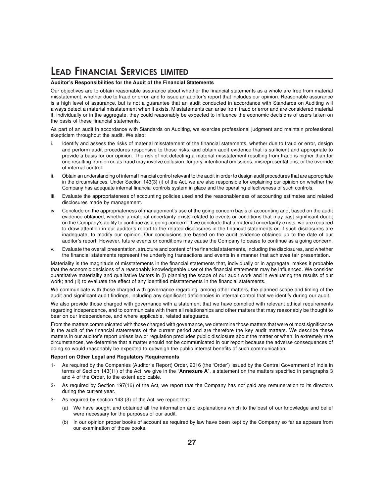### **Auditor's Responsibilities for the Audit of the Financial Statements**

Our objectives are to obtain reasonable assurance about whether the financial statements as a whole are free from material misstatement, whether due to fraud or error, and to issue an auditor's report that includes our opinion. Reasonable assurance is a high level of assurance, but is not a guarantee that an audit conducted in accordance with Standards on Auditing will always detect a material misstatement when it exists. Misstatements can arise from fraud or error and are considered material if, individually or in the aggregate, they could reasonably be expected to influence the economic decisions of users taken on the basis of these financial statements.

As part of an audit in accordance with Standards on Auditing, we exercise professional judgment and maintain professional skepticism throughout the audit. We also:

- i. Identify and assess the risks of material misstatement of the financial statements, whether due to fraud or error, design and perform audit procedures responsive to those risks, and obtain audit evidence that is sufficient and appropriate to provide a basis for our opinion. The risk of not detecting a material misstatement resulting from fraud is higher than for one resulting from error, as fraud may involve collusion, forgery, intentional omissions, misrepresentations, or the override of internal control.
- ii. Obtain an understanding of internal financial control relevant to the audit in order to design audit procedures that are appropriate in the circumstances. Under Section 143(3) (i) of the Act, we are also responsible for explaining our opinion on whether the Company has adequate internal financial controls system in place and the operating effectiveness of such controls.
- iii. Evaluate the appropriateness of accounting policies used and the reasonableness of accounting estimates and related disclosures made by management.
- iv. Conclude on the appropriateness of management's use of the going concern basis of accounting and, based on the audit evidence obtained, whether a material uncertainty exists related to events or conditions that may cast significant doubt on the Company's ability to continue as a going concern. If we conclude that a material uncertainty exists, we are required to draw attention in our auditor's report to the related disclosures in the financial statements or, if such disclosures are inadequate, to modify our opinion. Our conclusions are based on the audit evidence obtained up to the date of our auditor's report. However, future events or conditions may cause the Company to cease to continue as a going concern.
- v. Evaluate the overall presentation, structure and content of the financial statements, including the disclosures, and whether the financial statements represent the underlying transactions and events in a manner that achieves fair presentation.

Materiality is the magnitude of misstatements in the financial statements that, individually or in aggregate, makes it probable that the economic decisions of a reasonably knowledgeable user of the financial statements may be influenced. We consider quantitative materiality and qualitative factors in (i) planning the scope of our audit work and in evaluating the results of our work; and (ii) to evaluate the effect of any identified misstatements in the financial statements.

We communicate with those charged with governance regarding, among other matters, the planned scope and timing of the audit and significant audit findings, including any significant deficiencies in internal control that we identify during our audit.

We also provide those charged with governance with a statement that we have complied with relevant ethical requirements regarding independence, and to communicate with them all relationships and other matters that may reasonably be thought to bear on our independence, and where applicable, related safeguards.

From the matters communicated with those charged with governance, we determine those matters that were of most significance in the audit of the financial statements of the current period and are therefore the key audit matters. We describe these matters in our auditor's report unless law or regulation precludes public disclosure about the matter or when, in extremely rare circumstances, we determine that a matter should not be communicated in our report because the adverse consequences of doing so would reasonably be expected to outweigh the public interest benefits of such communication.

#### **Report on Other Legal and Regulatory Requirements**

- 1- As required by the Companies (Auditor's Report) Order, 2016 (the 'Order') issued by the Central Government of India in terms of Section 143(11) of the Act, we give in the "**Annexure A**", a statement on the matters specified in paragraphs 3 and 4 of the Order, to the extent applicable.
- 2- As required by Section 197(16) of the Act, we report that the Company has not paid any remuneration to its directors during the current year.
- 3- As required by section 143 (3) of the Act, we report that:
	- (a) We have sought and obtained all the information and explanations which to the best of our knowledge and belief were necessary for the purposes of our audit.
	- (b) In our opinion proper books of account as required by law have been kept by the Company so far as appears from our examination of those books.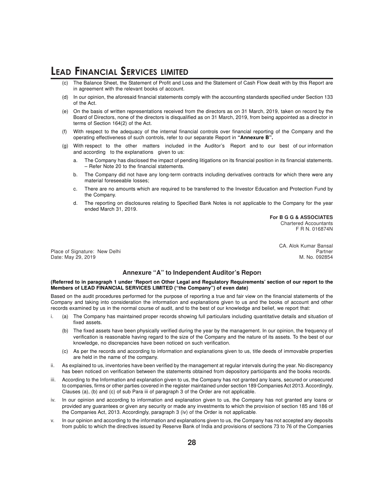- (c) The Balance Sheet, the Statement of Profit and Loss and the Statement of Cash Flow dealt with by this Report are in agreement with the relevant books of account.
- (d) In our opinion, the aforesaid financial statements comply with the accounting standards specified under Section 133 of the Act.
- (e) On the basis of written representations received from the directors as on 31 March, 2019, taken on record by the Board of Directors, none of the directors is disqualified as on 31 March, 2019, from being appointed as a director in terms of Section 164(2) of the Act.
- (f) With respect to the adequacy of the internal financial controls over financial reporting of the Company and the operating effectiveness of such controls, refer to our separate Report in **"Annexure B".**
- (g) With respect to the other matters included in the Auditor's Report and to our best of our information and according to the explanations given to us:
	- a. The Company has disclosed the impact of pending litigations on its financial position in its financial statements. – Refer Note 20 to the financial statements.
	- b. The Company did not have any long-term contracts including derivatives contracts for which there were any material foreseeable losses;
	- c. There are no amounts which are required to be transferred to the Investor Education and Protection Fund by the Company.
	- d. The reporting on disclosures relating to Specified Bank Notes is not applicable to the Company for the year ended March 31, 2019.

**For B G G & ASSOCIATES** Chartered Accountants F R N. 016874N

Place of Signature: New Delhi Partner (1999) and the Signature: New Delhi Partner (1999) and the Signature of Si<br>Pate: May 29, 2019 ... No. 092854 Date: May 29, 2019

CA. Alok Kumar Bansal

### **Annexure "A" to Independent Auditor's Report**

#### **(Referred to in paragraph 1 under 'Report on Other Legal and Regulatory Requirements' section of our report to the Members of LEAD FINANCIAL SERVICES LIMITED ("the Company") of even date)**

Based on the audit procedures performed for the purpose of reporting a true and fair view on the financial statements of the Company and taking into consideration the information and explanations given to us and the books of account and other records examined by us in the normal course of audit, and to the best of our knowledge and belief, we report that:

- i. (a) The Company has maintained proper records showing full particulars including quantitative details and situation of fixed assets.
	- (b) The fixed assets have been physically verified during the year by the management. In our opinion, the frequency of verification is reasonable having regard to the size of the Company and the nature of its assets. To the best of our knowledge, no discrepancies have been noticed on such verification.
	- (c) As per the records and according to information and explanations given to us, title deeds of immovable properties are held in the name of the company.
- ii. As explained to us, inventories have been verified by the management at regular intervals during the year. No discrepancy has been noticed on verification between the statements obtained from depository participants and the books records.
- iii. According to the Information and explanation given to us, the Company has not granted any loans, secured or unsecured to companies, firms or other parties covered in the register maintained under section 189 Companies Act 2013. Accordingly, Clauses (a), (b) and (c) of sub Para iii of paragraph 3 of the Order are not applicable.
- iv. In our opinion and according to information and explanation given to us, the Company has not granted any loans or provided any guarantees or given any security or made any investments to which the provision of section 185 and 186 of the Companies Act, 2013. Accordingly, paragraph 3 (iv) of the Order is not applicable.
- In our opinion and according to the information and explanations given to us, the Company has not accepted any deposits from public to which the directives issued by Reserve Bank of India and provisions of sections 73 to 76 of the Companies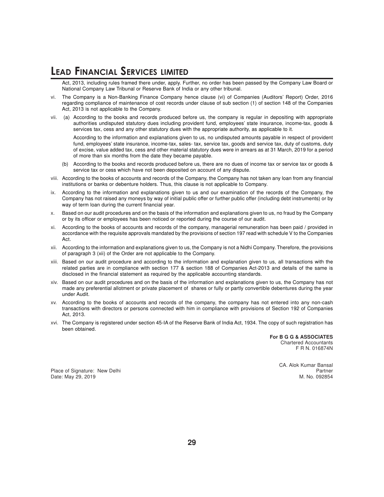Act, 2013, including rules framed there under, apply. Further, no order has been passed by the Company Law Board or National Company Law Tribunal or Reserve Bank of India or any other tribunal.

- vi. The Company is a Non-Banking Finance Company hence clause (vi) of Companies (Auditors' Report) Order, 2016 regarding compliance of maintenance of cost records under clause of sub section (1) of section 148 of the Companies Act, 2013 is not applicable to the Company.
- vii. (a) According to the books and records produced before us, the company is regular in depositing with appropriate authorities undisputed statutory dues including provident fund, employees' state insurance, income-tax, goods & services tax, cess and any other statutory dues with the appropriate authority, as applicable to it.

According to the information and explanations given to us, no undisputed amounts payable in respect of provident fund, employees' state insurance, income-tax, sales- tax, service tax, goods and service tax, duty of customs, duty of excise, value added tax, cess and other material statutory dues were in arrears as at 31 March, 2019 for a period of more than six months from the date they became payable.

- (b) According to the books and records produced before us, there are no dues of income tax or service tax or goods & service tax or cess which have not been deposited on account of any dispute.
- viii. According to the books of accounts and records of the Company, the Company has not taken any loan from any financial institutions or banks or debenture holders. Thus, this clause is not applicable to Company.
- ix. According to the information and explanations given to us and our examination of the records of the Company, the Company has not raised any moneys by way of initial public offer or further public offer (including debt instruments) or by way of term loan during the current financial year.
- x. Based on our audit procedures and on the basis of the information and explanations given to us, no fraud by the Company or by its officer or employees has been noticed or reported during the course of our audit.
- xi. According to the books of accounts and records of the company, managerial remuneration has been paid / provided in accordance with the requisite approvals mandated by the provisions of section 197 read with schedule V to the Companies Act.
- xii. According to the information and explanations given to us, the Company is not a Nidhi Company. Therefore, the provisions of paragraph 3 (xii) of the Order are not applicable to the Company.
- xiii. Based on our audit procedure and according to the information and explanation given to us, all transactions with the related parties are in compliance with section 177 & section 188 of Companies Act-2013 and details of the same is disclosed in the financial statement as required by the applicable accounting standards.
- xiv. Based on our audit procedures and on the basis of the information and explanations given to us, the Company has not made any preferential allotment or private placement of shares or fully or partly convertible debentures during the year under Audit.
- xv. According to the books of accounts and records of the company, the company has not entered into any non-cash transactions with directors or persons connected with him in compliance with provisions of Section 192 of Companies Act, 2013.
- xvi. The Company is registered under section 45-IA of the Reserve Bank of India Act, 1934. The copy of such registration has been obtained.

**For B G G & ASSOCIATES** Chartered Accountants F R N. 016874N

Place of Signature: New Delhi Partner<br>Date: May 29, 2019 M. No. 092854 Date: May 29, 2019

CA. Alok Kumar Bansal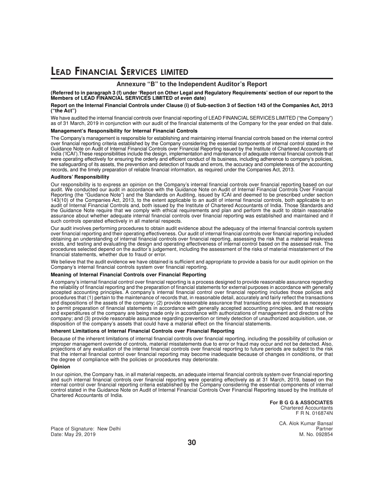### **Annexure "B" to the Independent Auditor's Report**

**(Referred to in paragraph 3 (f) under 'Report on Other Legal and Regulatory Requirements' section of our report to the Members of LEAD FINANCIAL SERVICES LIMITED of even date)**

#### **Report on the Internal Financial Controls under Clause (i) of Sub-section 3 of Section 143 of the Companies Act, 2013 ("the Act")**

We have audited the internal financial controls over financial reporting of LEAD FINANCIAL SERVICES LIMITED ("the Company") as of 31 March, 2019 in conjunction with our audit of the financial statements of the Company for the year ended on that date.

#### **Management's Responsibility for Internal Financial Controls**

The Company's management is responsible for establishing and maintaining internal financial controls based on the internal control over financial reporting criteria established by the Company considering the essential components of internal control stated in the Guidance Note on Audit of Internal Financial Controls over Financial Reporting issued by the Institute of Chartered Accountants of India ('ICAI').These responsibilities include the design, implementation and maintenance of adequate internal financial controls that were operating effectively for ensuring the orderly and efficient conduct of its business, including adherence to company's policies, the safeguarding of its assets, the prevention and detection of frauds and errors, the accuracy and completeness of the accounting records, and the timely preparation of reliable financial information, as required under the Companies Act, 2013.

#### **Auditors' Responsibility**

Our responsibility is to express an opinion on the Company's internal financial controls over financial reporting based on our audit. We conducted our audit in accordance with the Guidance Note on Audit of Internal Financial Controls Over Financial Reporting (the "Guidance Note") and the Standards on Auditing, issued by ICAI and deemed to be prescribed under section 143(10) of the Companies Act, 2013, to the extent applicable to an audit of internal financial controls, both applicable to an audit of Internal Financial Controls and, both issued by the Institute of Chartered Accountants of India. Those Standards and the Guidance Note require that we comply with ethical requirements and plan and perform the audit to obtain reasonable assurance about whether adequate internal financial controls over financial reporting was established and maintained and if such controls operated effectively in all material respects.

Our audit involves performing procedures to obtain audit evidence about the adequacy of the internal financial controls system over financial reporting and their operating effectiveness. Our audit of internal financial controls over financial reporting included obtaining an understanding of internal financial controls over financial reporting, assessing the risk that a material weakness exists, and testing and evaluating the design and operating effectiveness of internal control based on the assessed risk. The procedures selected depend on the auditor's judgement, including the assessment of the risks of material misstatement of the financial statements, whether due to fraud or error.

We believe that the audit evidence we have obtained is sufficient and appropriate to provide a basis for our audit opinion on the Company's internal financial controls system over financial reporting.

#### **Meaning of Internal Financial Controls over Financial Reporting**

A company's internal financial control over financial reporting is a process designed to provide reasonable assurance regarding the reliability of financial reporting and the preparation of financial statements for external purposes in accordance with generally accepted accounting principles. A company's internal financial control over financial reporting includes those policies and procedures that (1) pertain to the maintenance of records that, in reasonable detail, accurately and fairly reflect the transactions and dispositions of the assets of the company; (2) provide reasonable assurance that transactions are recorded as necessary to permit preparation of financial statements in accordance with generally accepted accounting principles, and that receipts and expenditures of the company are being made only in accordance with authorizations of management and directors of the company; and (3) provide reasonable assurance regarding prevention or timely detection of unauthorized acquisition, use, or disposition of the company's assets that could have a material effect on the financial statements.

#### **Inherent Limitations of Internal Financial Controls over Financial Reporting**

Because of the inherent limitations of internal financial controls over financial reporting, including the possibility of collusion or improper management override of controls, material misstatements due to error or fraud may occur and not be detected. Also, projections of any evaluation of the internal financial controls over financial reporting to future periods are subject to the risk that the internal financial control over financial reporting may become inadequate because of changes in conditions, or that the degree of compliance with the policies or procedures may deteriorate.

#### **Opinion**

In our opinion, the Company has, in all material respects, an adequate internal financial controls system over financial reporting and such internal financial controls over financial reporting were operating effectively as at 31 March, 2019, based on the internal control over financial reporting criteria established by the Company considering the essential components of internal control stated in the Guidance Note on Audit of Internal Financial Controls Over Financial Reporting issued by the Institute of Chartered Accountants of India.

> **For B G G & ASSOCIATES** Chartered Accountants F R N. 016874N

Place of Signature: New Delhi Partner (1999) and the Signature: New Delhi Partner (1998) and the Signature of Si<br>Pate: May 29, 2019 and the Signature of Partner (1992-1954) and the Signature of M. No. 092854 Date: May 29, 2019

CA. Alok Kumar Bansal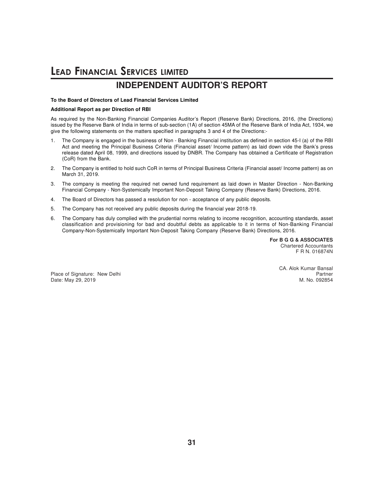## **LEAD FINANCIAL SERVICES LIMITED INDEPENDENT AUDITOR'S REPORT**

#### **To the Board of Directors of Lead Financial Services Limited**

#### **Additional Report as per Direction of RBI**

As required by the Non-Banking Financial Companies Auditor's Report (Reserve Bank) Directions, 2016, (the Directions) issued by the Reserve Bank of India in terms of sub-section (1A) of section 45MA of the Reserve Bank of India Act, 1934, we give the following statements on the matters specified in paragraphs 3 and 4 of the Directions:-

- 1. The Company is engaged in the business of Non Banking Financial institution as defined in section 45-I (a) of the RBI Act and meeting the Principal Business Criteria (Financial asset/ Income pattern) as laid down vide the Bank's press release dated April 08, 1999, and directions issued by DNBR. The Company has obtained a Certificate of Registration (CoR) from the Bank.
- 2. The Company is entitled to hold such CoR in terms of Principal Business Criteria (Financial asset/ Income pattern) as on March 31, 2019.
- 3. The company is meeting the required net owned fund requirement as laid down in Master Direction Non-Banking Financial Company - Non-Systemically Important Non-Deposit Taking Company (Reserve Bank) Directions, 2016.
- 4. The Board of Directors has passed a resolution for non acceptance of any public deposits.
- 5. The Company has not received any public deposits during the financial year 2018-19.
- 6. The Company has duly complied with the prudential norms relating to income recognition, accounting standards, asset classification and provisioning for bad and doubtful debts as applicable to it in terms of Non-Banking Financial Company-Non-Systemically Important Non-Deposit Taking Company (Reserve Bank) Directions, 2016.

**For B G G & ASSOCIATES** Chartered Accountants F R N. 016874N

Place of Signature: New Delhi Partner (1992) 2019 (1993) 2019 (1994) 2015 (1994) 2016 (1994) 2019 (1994) 2019<br>Date: May 29, 2019 (1992) 2019 Date: May 29, 2019

CA. Alok Kumar Bansal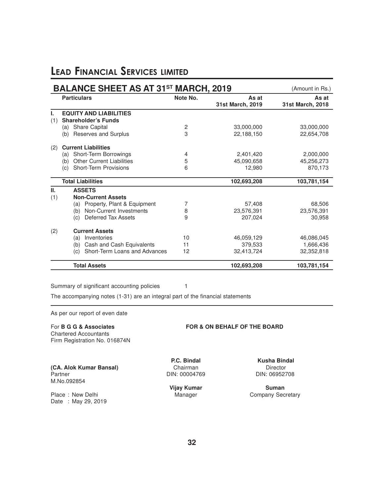|                                         | <b>BALANCE SHEET AS AT 31ST MARCH, 2019</b> |                  |                  |  |  |  |
|-----------------------------------------|---------------------------------------------|------------------|------------------|--|--|--|
| <b>Particulars</b>                      | Note No.                                    | As at            | As at            |  |  |  |
|                                         |                                             | 31st March, 2019 | 31st March, 2018 |  |  |  |
| <b>EQUITY AND LIABILITIES</b><br>L.     |                                             |                  |                  |  |  |  |
| <b>Shareholder's Funds</b><br>(1)       |                                             |                  |                  |  |  |  |
| Share Capital<br>(a)                    | $\overline{c}$                              | 33,000,000       | 33,000,000       |  |  |  |
| Reserves and Surplus<br>(b)             | 3                                           | 22,188,150       | 22,654,708       |  |  |  |
| <b>Current Liabilities</b><br>(2)       |                                             |                  |                  |  |  |  |
| Short-Term Borrowings<br>(a)            | 4                                           | 2,401,420        | 2,000,000        |  |  |  |
| <b>Other Current Liabilities</b><br>(b) | 5                                           | 45,090,658       | 45,256,273       |  |  |  |
| <b>Short-Term Provisions</b><br>(c)     | 6                                           | 12,980           | 870,173          |  |  |  |
| <b>Total Liabilities</b>                |                                             | 102,693,208      | 103,781,154      |  |  |  |
| Ш.<br><b>ASSETS</b>                     |                                             |                  |                  |  |  |  |
| (1)<br><b>Non-Current Assets</b>        |                                             |                  |                  |  |  |  |
| (a) Property, Plant & Equipment         | 7                                           | 57,408           | 68,506           |  |  |  |
| Non-Current Investments<br>(b)          | 8                                           | 23,576,391       | 23,576,391       |  |  |  |
| Deferred Tax Assets<br>(c)              | 9                                           | 207,024          | 30,958           |  |  |  |
| <b>Current Assets</b><br>(2)            |                                             |                  |                  |  |  |  |
| Inventories<br>(a)                      | 10                                          | 46,059,129       | 46,086,045       |  |  |  |
| Cash and Cash Equivalents<br>(b)        | 11                                          | 379,533          | 1,666,436        |  |  |  |
| Short-Term Loans and Advances<br>(c)    | 12                                          | 32,413,724       | 32,352,818       |  |  |  |
| <b>Total Assets</b>                     |                                             | 102,693,208      | 103,781,154      |  |  |  |

Summary of significant accounting policies 1

The accompanying notes (1-31) are an integral part of the financial statements

As per our report of even date

For **B G G & Associates FOR & ON BEHALF OF THE BOARD** Chartered Accountants Firm Registration No. 016874N

**(CA. Alok Kumar Bansal)** Chairman Chairman Director Director Director Chairman Director Director Director Chairman Director Director Director Director Director Director Director Director Director Director Director Directo M.No.092854

Place : New Delhi **Manager** Company Secretary Date : May 29, 2019

**Vijay Kumar Suman**<br>
Manager **Company Sec** 

**P.C. Bindal Chairman Kusha Bindal** Chairman **Chairman** DIN: 06952708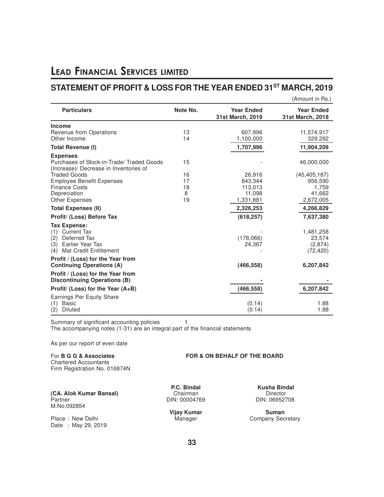## **STATEMENT OF PROFIT & LOSS FOR THE YEAR ENDED 31ST MARCH, 2019**

|                                                                                                                    |          |                                       | (Amount in Rs.)                             |
|--------------------------------------------------------------------------------------------------------------------|----------|---------------------------------------|---------------------------------------------|
| <b>Particulars</b>                                                                                                 | Note No. | <b>Year Ended</b><br>31st March, 2019 | <b>Year Ended</b><br>31st March, 2018       |
| <b>Income</b>                                                                                                      |          |                                       |                                             |
| Revenue from Operations<br>Other Income                                                                            | 13<br>14 | 607,996<br>1,100,000                  | 11,574,917<br>329,292                       |
| <b>Total Revenue (I)</b>                                                                                           |          | 1,707,996                             | 11,904,209                                  |
| <b>Expenses</b><br>Purchases of Stock-in-Trade/ Traded Goods<br>(Increase)/ Decrease in Inventories of             | 15       |                                       | 46,000,000                                  |
| <b>Traded Goods</b>                                                                                                | 16       | 26,916                                | (45, 405, 187)                              |
| <b>Employee Benefit Expenses</b>                                                                                   | 17       | 843.344                               | 956,590                                     |
| <b>Finance Costs</b>                                                                                               | 18       | 113,013                               | 1,759                                       |
| Depreciation                                                                                                       | 8        | 11,098                                | 41,662                                      |
| Other Expenses                                                                                                     | 19       | 1,331,881                             | 2,672,005                                   |
| <b>Total Expenses (II)</b>                                                                                         |          | 2,326,253                             | 4,266,829                                   |
| Profit/ (Loss) Before Tax                                                                                          |          | (618, 257)                            | 7,637,380                                   |
| Tax Expense:<br>(1) Current Tax<br>Deferred Tax<br>(2)<br>Earlier Year Tax<br>(3)<br>Mat Credit Entitlement<br>(4) |          | (176,066)<br>24,367                   | 1,481,258<br>23,574<br>(2,874)<br>(72, 420) |
| Profit / (Loss) for the Year from<br><b>Continuing Operations (A)</b>                                              |          | (466, 558)                            | 6,207,842                                   |
| Profit / (Loss) for the Year from<br><b>Discontinuing Operations (B)</b>                                           |          |                                       |                                             |
| Profit/ (Loss) for the Year (A+B)                                                                                  |          | (466, 558)                            | 6,207,842                                   |
| Earnings Per Equity Share<br><b>Basic</b><br>(1)<br>Diluted<br>(2)                                                 |          | (0.14)<br>(0.14)                      | 1.88<br>1.88                                |

Summary of significant accounting policies 1 The accompanying notes (1-31) are an integral part of the financial statements

As per our report of even date

#### For **B G G & Associates FOR & ON BEHALF OF THE BOARD** Chartered Accountants Firm Registration No. 016874N

**(CA. Alok Kumar Bansal)** Chairman Director Chairman Director Chairman Director Chairman Director Chairman Director Chairman Director Chairman Director Chairman Director Chairman Director Chairman Director Chairman Directo M.No.092854

Place : New Delhi **Manager** Manager Company Secretary Date : May 29, 2019

**P.C. Bindal Chairman Kusha Bindal** Chairman **Chairman** DIN: 06952708

**Vijay Kumar Suman**<br> **Manager Company Sec**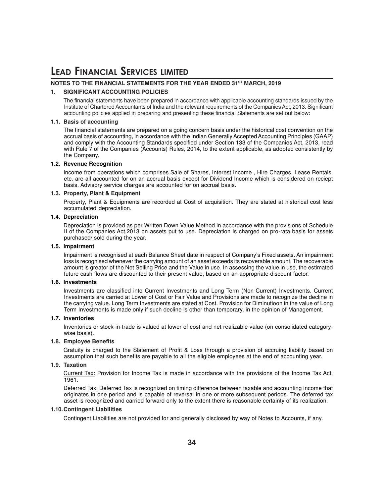### **NOTES TO THE FINANCIAL STATEMENTS FOR THE YEAR ENDED 31ST MARCH, 2019**

#### **1. SIGNIFICANT ACCOUNTING POLICIES**

The financial statements have been prepared in accordance with applicable accounting standards issued by the Institute of Chartered Accountants of India and the relevant requirements of the Companies Act, 2013. Significant accounting policies applied in preparing and presenting these financial Statements are set out below:

#### **1.1. Basis of accounting**

The financial statements are prepared on a going concern basis under the historical cost convention on the accrual basis of accounting, in accordance with the Indian Generally Accepted Accounting Principles (GAAP) and comply with the Accounting Standards specified under Section 133 of the Companies Act, 2013, read with Rule 7 of the Companies (Accounts) Rules, 2014, to the extent applicable, as adopted consistently by the Company.

#### **1.2. Revenue Recognition**

Income from operations which comprises Sale of Shares, Interest Income , Hire Charges, Lease Rentals, etc. are all accounted for on an accrual basis except for Dividend Income which is considered on reciept basis. Advisory service charges are accounted for on accrual basis.

#### **1.3. Property, Plant & Equipment**

Property, Plant & Equipments are recorded at Cost of acquisition. They are stated at historical cost less accumulated depreciation.

### **1.4. Depreciation**

Depreciation is provided as per Written Down Value Method in accordance with the provisions of Schedule II of the Companies Act,2013 on assets put to use. Depreciation is charged on pro-rata basis for assets purchased/ sold during the year.

#### **1.5. Impairment**

Impairment is recognised at each Balance Sheet date in respect of Company's Fixed assets. An impairment loss is recognised whenever the carrying amount of an asset exceeds its recoverable amount. The recoverable amount is greator of the Net Selling Price and the Value in use. In assessing the value in use, the estimated future cash flows are discounted to their present value, based on an appropriate discount factor.

#### **1.6. Investments**

Investments are classified into Current Investments and Long Term (Non-Current) Investments. Current Investments are carried at Lower of Cost or Fair Value and Provisions are made to recognize the decline in the carrying value. Long Term Investments are stated at Cost. Provision for Diminutioon in the value of Long Term Investments is made only if such decline is other than temporary, in the opinion of Management.

#### **1.7. Inventories**

Inventories or stock-in-trade is valued at lower of cost and net realizable value (on consolidated categorywise basis).

#### **1.8. Employee Benefits**

Gratuity is charged to the Statement of Profit & Loss through a provision of accruing liability based on assumption that such benefits are payable to all the eligible employees at the end of accounting year.

### **1.9. Taxation**

Current Tax: Provision for Income Tax is made in accordance with the provisions of the Income Tax Act, 1961.

Deferred Tax: Deferred Tax is recognized on timing difference between taxable and accounting income that originates in one period and is capable of reversal in one or more subsequent periods. The deferred tax asset is recognized and carried forward only to the extent there is reasonable certainty of its realization.

### **1.10.Contingent Liabilities**

Contingent Liabilities are not provided for and generally disclosed by way of Notes to Accounts, if any.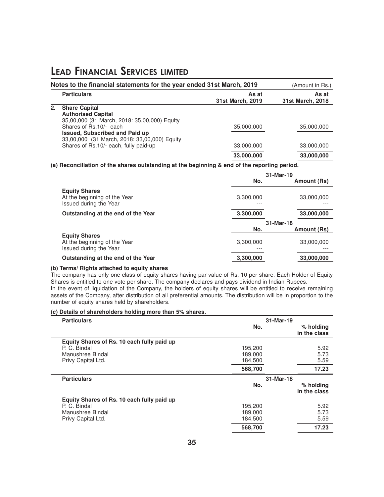|    | Notes to the financial statements for the year ended 31st March, 2019                                                          | (Amount in Rs.)           |                           |
|----|--------------------------------------------------------------------------------------------------------------------------------|---------------------------|---------------------------|
|    | <b>Particulars</b>                                                                                                             | As at<br>31st March, 2019 | As at<br>31st March, 2018 |
| 2. | <b>Share Capital</b><br><b>Authorised Capital</b><br>35,00,000 (31 March, 2018: 35,00,000) Equity<br>Shares of Rs.10/- each    | 35,000,000                | 35,000,000                |
|    | <b>Issued, Subscribed and Paid up</b><br>33,00,000 (31 March, 2018: 33,00,000) Equity<br>Shares of Rs.10/- each, fully paid-up | 33,000,000                | 33,000,000                |
|    |                                                                                                                                | 33,000,000                | 33,000,000                |

### **(a) Reconciliation of the shares outstanding at the beginning & end of the reporting period.**

|                                                                                | 31-Mar-19 |             |  |
|--------------------------------------------------------------------------------|-----------|-------------|--|
|                                                                                | No.       | Amount (Rs) |  |
| <b>Equity Shares</b><br>At the beginning of the Year<br>Issued during the Year | 3,300,000 | 33,000,000  |  |
| Outstanding at the end of the Year                                             | 3,300,000 | 33,000,000  |  |
|                                                                                | 31-Mar-18 |             |  |
|                                                                                | No.       | Amount (Rs) |  |
| <b>Equity Shares</b><br>At the beginning of the Year<br>Issued during the Year | 3,300,000 | 33,000,000  |  |
| Outstanding at the end of the Year                                             | 3,300,000 | 33,000,000  |  |

### **(b) Terms/ Rights attached to equity shares**

 $\overline{a}$ 

The company has only one class of equity shares having par value of Rs. 10 per share. Each Holder of Equity Shares is entitled to one vote per share. The company declares and pays dividend in Indian Rupees.

In the event of liquidation of the Company, the holders of equity shares will be entitled to receive remaining assets of the Company, after distribution of all preferential amounts. The distribution will be in proportion to the number of equity shares held by shareholders.

### **(c) Details of shareholders holding more than 5% shares.**

| <b>Particulars</b>                                         |         | 31-Mar-19 |                           |
|------------------------------------------------------------|---------|-----------|---------------------------|
|                                                            | No.     |           | % holding<br>in the class |
| Equity Shares of Rs. 10 each fully paid up                 |         |           |                           |
| P. C. Bindal                                               | 195,200 |           | 5.92                      |
| Manushree Bindal                                           | 189,000 |           | 5.73                      |
| Privy Capital Ltd.                                         | 184.500 |           | 5.59                      |
|                                                            | 568,700 |           | 17.23                     |
|                                                            |         |           |                           |
| <b>Particulars</b>                                         |         | 31-Mar-18 |                           |
|                                                            | No.     |           | % holding<br>in the class |
|                                                            |         |           |                           |
| Equity Shares of Rs. 10 each fully paid up<br>P. C. Bindal | 195,200 |           | 5.92                      |
| Manushree Bindal                                           | 189,000 |           | 5.73                      |
| Privy Capital Ltd.                                         | 184,500 |           | 5.59                      |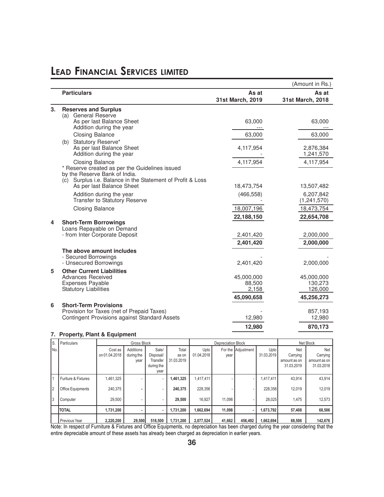|    |                                                                                                                                               |                           | (Amount in Rs.)           |
|----|-----------------------------------------------------------------------------------------------------------------------------------------------|---------------------------|---------------------------|
|    | <b>Particulars</b>                                                                                                                            | As at<br>31st March, 2019 | As at<br>31st March, 2018 |
| 3. | <b>Reserves and Surplus</b>                                                                                                                   |                           |                           |
|    | (a) General Reserve<br>As per last Balance Sheet<br>Addition during the year                                                                  | 63,000                    | 63,000                    |
|    | <b>Closing Balance</b>                                                                                                                        | 63,000                    | 63,000                    |
|    | (b) Statutory Reserve*<br>As per last Balance Sheet<br>Addition during the year                                                               | 4,117,954                 | 2,876,384<br>1,241,570    |
|    | <b>Closing Balance</b>                                                                                                                        | 4,117,954                 | 4,117,954                 |
|    | * Reserve created as per the Guidelines issued<br>by the Reserve Bank of India.<br>(c) Surplus i.e. Balance in the Statement of Profit & Loss |                           |                           |
|    | As per last Balance Sheet                                                                                                                     | 18,473,754                | 13,507,482                |
|    | Addition during the year<br>Transfer to Statutory Reserve                                                                                     | (466, 558)                | 6,207,842<br>(1,241,570)  |
|    | <b>Closing Balance</b>                                                                                                                        | 18,007,196                | 18,473,754                |
|    |                                                                                                                                               | 22,188,150                | 22,654,708                |
| 4  | <b>Short-Term Borrowings</b><br>Loans Repayable on Demand                                                                                     |                           |                           |
|    | - from Inter Corporate Deposit                                                                                                                | 2,401,420                 | 2,000,000                 |
|    |                                                                                                                                               | 2,401,420                 | 2,000,000                 |
|    | The above amount includes<br>- Secured Borrowings                                                                                             |                           |                           |
|    | - Unsecured Borrowings                                                                                                                        | 2,401,420                 | 2,000,000                 |
| 5  | <b>Other Current Liabilities</b><br><b>Advances Received</b>                                                                                  | 45,000,000                | 45,000,000                |
|    | <b>Expenses Payable</b>                                                                                                                       | 88,500                    | 130,273                   |
|    | <b>Statutory Liabilities</b>                                                                                                                  | 2,158                     | 126,000                   |
|    |                                                                                                                                               | 45,090,658                | 45,256,273                |
| 6  | <b>Short-Term Provisions</b><br>Provision for Taxes (net of Prepaid Taxes)<br><b>Contingent Provisions against Standard Assets</b>            | 12,980                    | 857,193<br>12,980         |
|    |                                                                                                                                               | 12.980                    |                           |
|    |                                                                                                                                               |                           | 870,173                   |

### **7. Property, Plant & Equipment**

| ls.       | Particulars          |                          | <b>Gross Block</b>              |                                                      |                              |                    | <b>Depreciation Block</b> |                    |                    |                                               | Net Block                                     |
|-----------|----------------------|--------------------------|---------------------------------|------------------------------------------------------|------------------------------|--------------------|---------------------------|--------------------|--------------------|-----------------------------------------------|-----------------------------------------------|
| l No.l    |                      | Cost as<br>on 01.04.2018 | Additions<br>during the<br>year | Sale/<br>Disposal/<br>Transfer<br>during the<br>year | Total<br>as on<br>31.03.2019 | Upto<br>01.04.2018 | year                      | For the Adjustment | Upto<br>31.03.2019 | Net<br>Carrying<br>amount as on<br>31.03.2019 | Net<br>Carrying<br>amount as on<br>31.03.2018 |
| $\vert$ 1 | Furiture & Fixtures  | 1,461,325                |                                 |                                                      | 1,461,325                    | 1,417,411          |                           |                    | 1,417,411          | 43,914                                        | 43,914                                        |
| l2        | Office Equipments    | 240.375                  |                                 |                                                      | 240.375                      | 228.356            |                           |                    | 228.356            | 12,019                                        | 12,019                                        |
| l3        | Computer             | 29,500                   |                                 |                                                      | 29,500                       | 16.927             | 11.098                    |                    | 28.025             | 1,475                                         | 12,573                                        |
|           | Itotal               | 1.731.200                |                                 |                                                      | 1,731,200                    | 1.662.694          | 11,098                    |                    | 1,673,792          | 57,408                                        | 68,506                                        |
|           | <b>Previous Year</b> | 2,220,200                | 29,500                          | 518,500                                              | 1.731.200                    | 2.077.524          | 41.662                    | 456.492            | 1.662.694          | 68,506                                        | 142,676                                       |

Note: In respect of Furniture & Fixtures and Office Equipments, no depreciation has been charged during the year considering that the entire depreciable amount of these assets has already been charged as depreciation in earlier years.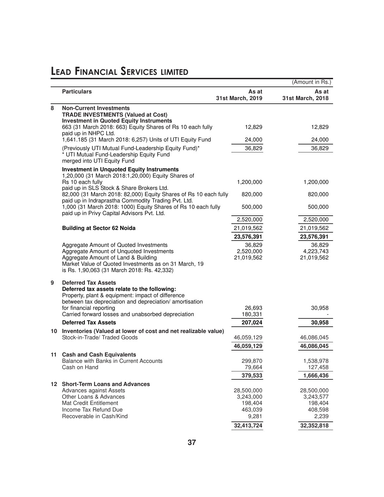|    |                                                                                                                                                                                                                                                                             |                                                        | (Amount in Rs.)                                        |
|----|-----------------------------------------------------------------------------------------------------------------------------------------------------------------------------------------------------------------------------------------------------------------------------|--------------------------------------------------------|--------------------------------------------------------|
|    | <b>Particulars</b>                                                                                                                                                                                                                                                          | As at                                                  | As at                                                  |
|    |                                                                                                                                                                                                                                                                             | 31st March, 2019                                       | 31st March, 2018                                       |
| 8  | <b>Non-Current Investments</b><br><b>TRADE INVESTMENTS (Valued at Cost)</b><br><b>Investment in Quoted Equity Instruments</b>                                                                                                                                               |                                                        |                                                        |
|    | 663 (31 March 2018: 663) Equity Shares of Rs 10 each fully<br>paid up in NHPC Ltd.                                                                                                                                                                                          | 12,829                                                 | 12,829                                                 |
|    | 1,641.185 (31 March 2018: 6,257) Units of UTI Equity Fund                                                                                                                                                                                                                   | 24,000                                                 | 24,000                                                 |
|    | (Previously UTI Mutual Fund-Leadership Equity Fund)*<br>* UTI Mutual Fund-Leadership Equity Fund<br>merged into UTI Equity Fund                                                                                                                                             | 36,829                                                 | 36,829                                                 |
|    | <b>Investment in Unquoted Equity Instruments</b><br>1,20,000 (31 March 2018:1,20,000) Equity Shares of<br>Rs 10 each fully<br>paid up in SLS Stock & Share Brokers Ltd.                                                                                                     | 1,200,000                                              | 1,200,000                                              |
|    | 82,000 (31 March 2018: 82,000) Equity Shares of Rs 10 each fully<br>paid up in Indraprastha Commodity Trading Pvt. Ltd.                                                                                                                                                     | 820,000                                                | 820,000                                                |
|    | 1,000 (31 March 2018: 1000) Equity Shares of Rs 10 each fully<br>paid up in Privy Capital Advisors Pvt. Ltd.                                                                                                                                                                | 500,000                                                | 500,000                                                |
|    |                                                                                                                                                                                                                                                                             | 2,520,000                                              | 2,520,000                                              |
|    | <b>Building at Sector 62 Noida</b>                                                                                                                                                                                                                                          | 21,019,562                                             | 21,019,562                                             |
|    |                                                                                                                                                                                                                                                                             | 23,576,391                                             | 23,576,391                                             |
|    | Aggregate Amount of Quoted Investments<br>Aggregate Amount of Unquoted Investments<br>Aggregate Amount of Land & Building<br>Market Value of Quoted Investments as on 31 March, 19<br>is Rs. 1,90,063 (31 March 2018: Rs. 42,332)                                           | 36,829<br>2,520,000<br>21,019,562                      | 36,829<br>4,223,743<br>21,019,562                      |
| 9  | <b>Deferred Tax Assets</b><br>Deferred tax assets relate to the following:<br>Property, plant & equipment: impact of difference<br>between tax depreciation and depreciation/ amortisation<br>for financial reporting<br>Carried forward losses and unabsorbed depreciation | 26,693<br>180,331                                      | 30,958                                                 |
|    | <b>Deferred Tax Assets</b>                                                                                                                                                                                                                                                  | 207,024                                                | 30,958                                                 |
|    | 10 Inventories (Valued at lower of cost and net realizable value)                                                                                                                                                                                                           |                                                        |                                                        |
|    | Stock-in-Trade/ Traded Goods                                                                                                                                                                                                                                                | 46,059,129                                             | 46,086,045                                             |
|    |                                                                                                                                                                                                                                                                             | 46,059,129                                             | 46,086,045                                             |
| 11 | <b>Cash and Cash Equivalents</b>                                                                                                                                                                                                                                            |                                                        |                                                        |
|    | Balance with Banks in Current Accounts<br>Cash on Hand                                                                                                                                                                                                                      | 299,870<br>79,664                                      | 1,538,978<br>127,458                                   |
|    |                                                                                                                                                                                                                                                                             | 379,533                                                | 1,666,436                                              |
|    | 12 Short-Term Loans and Advances<br>Advances against Assets<br>Other Loans & Advances<br><b>Mat Credit Entitlement</b><br>Income Tax Refund Due<br>Recoverable in Cash/Kind                                                                                                 | 28,500,000<br>3,243,000<br>198,404<br>463,039<br>9,281 | 28,500,000<br>3,243,577<br>198,404<br>408,598<br>2,239 |
|    |                                                                                                                                                                                                                                                                             | 32,413,724                                             | 32,352,818                                             |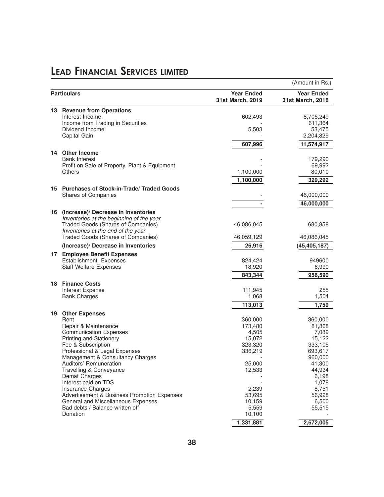|    |                                                                          |                                       | (Amount in Rs.)                       |
|----|--------------------------------------------------------------------------|---------------------------------------|---------------------------------------|
|    | <b>Particulars</b>                                                       | <b>Year Ended</b><br>31st March, 2019 | <b>Year Ended</b><br>31st March, 2018 |
|    | 13 Revenue from Operations                                               |                                       |                                       |
|    | Interest Income                                                          | 602,493                               | 8,705,249                             |
|    | Income from Trading in Securities                                        |                                       | 611,364                               |
|    | Dividend Income<br>Capital Gain                                          | 5,503                                 | 53,475<br>2,204,829                   |
|    |                                                                          |                                       |                                       |
|    |                                                                          | 607,996                               | 11,574,917                            |
|    | 14 Other Income                                                          |                                       |                                       |
|    | <b>Bank Interest</b><br>Profit on Sale of Property, Plant & Equipment    |                                       | 179,290<br>69,992                     |
|    | Others                                                                   | 1,100,000                             | 80,010                                |
|    |                                                                          | 1,100,000                             | 329,292                               |
|    |                                                                          |                                       |                                       |
|    | 15 Purchases of Stock-in-Trade/ Traded Goods                             |                                       |                                       |
|    | <b>Shares of Companies</b>                                               |                                       | 46,000,000                            |
|    |                                                                          |                                       | 46,000,000                            |
|    | 16 (Increase)/ Decrease in Inventories                                   |                                       |                                       |
|    | Inventories at the beginning of the year                                 |                                       |                                       |
|    | Traded Goods (Shares of Companies)<br>Inventories at the end of the year | 46,086,045                            | 680,858                               |
|    | Traded Goods (Shares of Companies)                                       | 46,059,129                            | 46,086,045                            |
|    | (Increase)/ Decrease in Inventories                                      | 26,916                                | (45, 405, 187)                        |
| 17 | <b>Employee Benefit Expenses</b>                                         |                                       |                                       |
|    | Establishment Expenses                                                   | 824,424                               | 949600                                |
|    | <b>Staff Welfare Expenses</b>                                            | 18,920                                | 6,990                                 |
|    |                                                                          | 843,344                               | 956,590                               |
|    | <b>18 Finance Costs</b>                                                  |                                       |                                       |
|    | Interest Expense                                                         | 111,945                               | 255                                   |
|    | <b>Bank Charges</b>                                                      | 1,068                                 | 1,504                                 |
|    |                                                                          | 113,013                               | 1,759                                 |
| 19 | <b>Other Expenses</b>                                                    |                                       |                                       |
|    | Rent                                                                     | 360,000                               | 360,000                               |
|    | Repair & Maintenance                                                     | 173,480                               | 81,868                                |
|    | <b>Communication Expenses</b>                                            | 4,505                                 | 7,089                                 |
|    | <b>Printing and Stationery</b>                                           | 15,072                                | 15,122                                |
|    | Fee & Subscription                                                       | 323,320                               | 333,105                               |
|    | Professional & Legal Expenses                                            | 336,219                               | 693,617                               |
|    | Management & Consultancy Charges<br>Auditors' Remuneration               | 25,000                                | 960,000<br>41,300                     |
|    | Travelling & Conveyance                                                  | 12,533                                | 44,934                                |
|    | Demat Charges                                                            |                                       | 6,198                                 |
|    | Interest paid on TDS                                                     |                                       | 1,078                                 |
|    | Insurance Charges                                                        | 2,239                                 | 8,751                                 |
|    | Advertisement & Business Promotion Expenses                              | 53,695                                | 56,928                                |
|    | General and Miscellaneous Expenses<br>Bad debts / Balance written off    | 10,159                                | 6,500                                 |
|    | Donation                                                                 | 5,559<br>10,100                       | 55,515                                |
|    |                                                                          |                                       |                                       |
|    |                                                                          | 1,331,881                             | 2,672,005                             |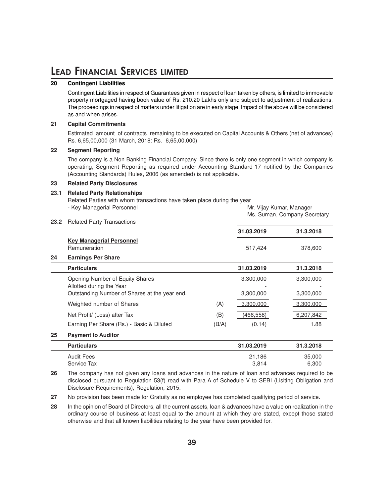## **20 Contingent Liabilities**

Contingent Liabilities in respect of Guarantees given in respect of loan taken by others, is limited to immovable property mortgaged having book value of Rs. 210.20 Lakhs only and subject to adjustment of realizations. The proceedings in respect of matters under litigation are in early stage. Impact of the above will be considered as and when arises.

### **21 Capital Commitments**

Estimated amount of contracts remaining to be executed on Capital Accounts & Others (net of advances) Rs. 6,65,00,000 (31 March, 2018: Rs. 6,65,00,000)

### **22 Segment Reporting**

The company is a Non Banking Financial Company. Since there is only one segment in which company is operating, Segment Reporting as required under Accounting Standard-17 notified by the Companies (Accounting Standards) Rules, 2006 (as amended) is not applicable.

#### **23 Related Party Disclosures**

### **23.1 Related Party Relationships**

Related Parties with whom transactions have taken place during the year - Key Managerial Personnel Mr. Vijay Kumar, Manager

|    | 23.2 Related Party Transactions                 |            | Ms. Suman, Company Secretary |  |  |
|----|-------------------------------------------------|------------|------------------------------|--|--|
|    |                                                 | 31.03.2019 | 31.3.2018                    |  |  |
|    | <b>Key Managerial Personnel</b><br>Remuneration | 517.424    | 378,600                      |  |  |
| 24 | <b>Earnings Per Share</b>                       |            |                              |  |  |

|    | <b>Particulars</b>                                                                                           |       | 31.03.2019             | 31.3.2018              |
|----|--------------------------------------------------------------------------------------------------------------|-------|------------------------|------------------------|
|    | Opening Number of Equity Shares<br>Allotted during the Year<br>Outstanding Number of Shares at the year end. |       | 3,300,000<br>3,300,000 | 3,300,000<br>3,300,000 |
|    | Weighted number of Shares                                                                                    | (A)   | $-3.300.000$           | 3.300.000              |
|    | Net Profit/ (Loss) after Tax                                                                                 | (B)   | (466,558)              | 6,207,842              |
|    | Earning Per Share (Rs.) - Basic & Diluted                                                                    | (B/A) | (0.14)                 | 1.88                   |
| 25 | <b>Payment to Auditor</b>                                                                                    |       |                        |                        |

| <b>Particulars</b> | 31.03.2019 | 31.3.2018 |
|--------------------|------------|-----------|
| <b>Audit Fees</b>  | 21.186     | 35,000    |
| Service Tax        | 3,814      | 6,300     |

**26** The company has not given any loans and advances in the nature of loan and advances required to be disclosed pursuant to Regulation 53(f) read with Para A of Schedule V to SEBI (Lisiting Obligation and Disclosure Requirements), Regulation, 2015.

**27** No provision has been made for Gratuity as no employee has completed qualifying period of service.

**28** In the opinion of Board of Directors, all the current assets, loan & advances have a value on realization in the ordinary course of business at least equal to the amount at which they are stated, except those stated otherwise and that all known liabilities relating to the year have been provided for.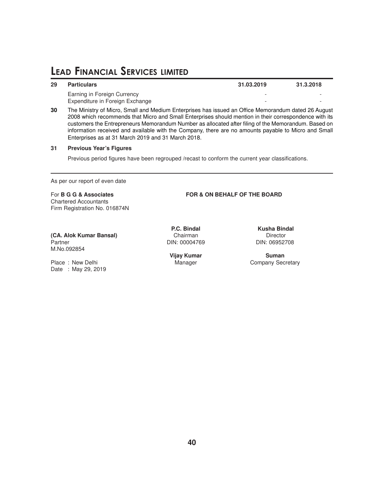| 29 | Particulars                     | 31.03.2019 | 31.3.2018 |
|----|---------------------------------|------------|-----------|
|    | Earning in Foreign Currency     | -          |           |
|    | Expenditure in Foreign Exchange |            |           |

**30** The Ministry of Micro, Small and Medium Enterprises has issued an Office Memorandum dated 26 August 2008 which recommends that Micro and Small Enterprises should mention in their correspondence with its customers the Entrepreneurs Memorandum Number as allocated after filing of the Memorandum. Based on information received and available with the Company, there are no amounts payable to Micro and Small Enterprises as at 31 March 2019 and 31 March 2018.

### **31 Previous Year's Figures**

Previous period figures have been regrouped /recast to conform the current year classifications.

As per our report of even date

For **B G G & Associates FOR & ON BEHALF OF THE BOARD** Chartered Accountants Firm Registration No. 016874N

**(CA. Alok Kumar Bansal)** Chairman Chairman Director Director<br>Partner DIN: 00004769 DIN: 06952708 M.No.092854

Place : New Delhi **Manager** Manager Company Secretary Date : May 29, 2019

DIN: 00004769

**Vijay Kumar Suman**<br> **Manager Company Sec** 

P.C. Bindal **Kusha Bindal**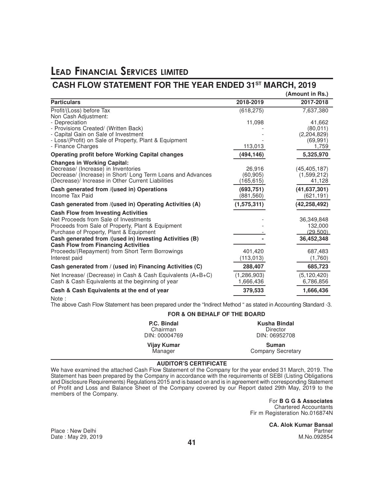## **CASH FLOW STATEMENT FOR THE YEAR ENDED 31ST MARCH, 2019**

|                                                                                                    |               | (Amount in Rs.)        |
|----------------------------------------------------------------------------------------------------|---------------|------------------------|
| <b>Particulars</b>                                                                                 | 2018-2019     | 2017-2018              |
| Profit/(Loss) before Tax<br>Non Cash Adjustment:                                                   | (618, 275)    | 7,637,380              |
| - Depreciation                                                                                     | 11,098        | 41,662                 |
| - Provisions Created/ (Written Back)                                                               |               | (80, 011)              |
| - Capital Gain on Sale of Investment                                                               |               | (2,204,829)            |
| - Loss/(Profit) on Sale of Property, Plant & Equipment<br>- Finance Charges                        | 113,013       | (69, 991)<br>1,759     |
| <b>Operating profit before Working Capital changes</b>                                             | (494, 146)    | 5,325,970              |
| <b>Changes in Working Capital:</b>                                                                 |               |                        |
| Decrease/ (Increase) in Inventories                                                                | 26,916        | (45, 405, 187)         |
| Decrease/ (Increase) in Short/ Long Term Loans and Advances                                        | (60, 905)     | (1,599,212)            |
| (Decrease)/ Increase in Other Current Liabilities                                                  | (165,615)     | 41,128                 |
| Cash generated from /(used in) Operations                                                          | (693, 751)    | (41, 637, 301)         |
| Income Tax Paid                                                                                    | (881,560)     | (621, 191)             |
| Cash generated from /(used in) Operating Activities (A)                                            | (1, 575, 311) | (42,258,492)           |
| <b>Cash Flow from Investing Activities</b>                                                         |               |                        |
| Net Proceeds from Sale of Investments                                                              |               | 36,349,848             |
| Proceeds from Sale of Property, Plant & Equipment                                                  |               | 132,000                |
| Purchase of Property, Plant & Equipment<br>Cash generated from /(used in) Investing Activities (B) |               | (29.500)<br>36,452,348 |
| <b>Cash Flow from Financing Activities</b>                                                         |               |                        |
| Proceeds/(Repayment) from Short Term Borrowings                                                    | 401,420       | 687,483                |
| Interest paid                                                                                      | (113,013)     | (1,760)                |
| Cash generated from / (used in) Financing Activities (C)                                           | 288,407       | 685,723                |
| Net Increase/ (Decrease) in Cash & Cash Equivalents (A+B+C)                                        | (1,286,903)   | (5, 120, 420)          |
| Cash & Cash Equivalents at the beginning of year                                                   | 1,666,436     | 6,786,856              |
| Cash & Cash Equivalents at the end of year                                                         | 379,533       | 1,666,436              |

Note :

The above Cash Flow Statement has been prepared under the "Indirect Method " as stated in Accounting Standard -3.

### **FOR & ON BEHALF OF THE BOARD**

| P.C. Bindal   | Kusha Bindal             |
|---------------|--------------------------|
| Chairman      | Director                 |
| DIN: 00004769 | DIN: 06952708            |
| Vijay Kumar   | Suman                    |
| Manager       | <b>Company Secretary</b> |

### **AUDITOR'S CERTIFICATE**

We have examined the attached Cash Flow Statement of the Company for the year ended 31 March, 2019. The Statement has been prepared by the Company in accordance with the requirements of SEBI (Listing Obligations and Disclosure Requirements) Regulations 2015 and is based on and is in agreement with corresponding Statement of Profit and Loss and Balance Sheet of the Company covered by our Report dated 29th May, 2019 to the members of the Company.

> For **B G G & Associates** Chartered Accountants Fir m Registeration No.016874N

**CA. Alok Kumar Bansal** Place : New Delhi Partner Partner (Partner Partner Partner Partner Partner Partner Partner Partner Partner Par Date : May 29, 2019 M.No.092854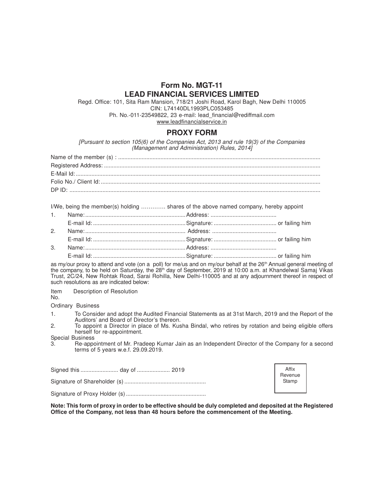## **Form No. MGT-11 LEAD FINANCIAL SERVICES LIMITED**

Regd. Office: 101, Sita Ram Mansion, 718/21 Joshi Road, Karol Bagh, New Delhi 110005 CIN: L74140DL1993PLC053485 Ph. No.-011-23549822, 23 e-mail: lead financial@rediffmail.com www.leadfinancialservice.in

### **PROXY FORM**

*[Pursuant to section 105(6) of the Companies Act, 2013 and rule 19(3) of the Companies (Management and Administration) Rules, 2014]*

I/We, being the member(s) holding …………. shares of the above named company, hereby appoint

as my/our proxy to attend and vote (on a poll) for me/us and on my/our behalf at the 26<sup>th</sup> Annual general meeting of the company, to be held on Saturday, the 28<sup>th</sup> day of September, 2019 at 10:00 a.m. at Khandelwal Samaj Vikas Trust, 2C/24, New Rohtak Road, Sarai Rohilla, New Delhi-110005 and at any adjournment thereof in respect of such resolutions as are indicated below:

Item Description of Resolution No.

Ordinary Business

- 1. To Consider and adopt the Audited Financial Statements as at 31st March, 2019 and the Report of the Auditors' and Board of Director's thereon.
- 2. To appoint a Director in place of Ms. Kusha Bindal, who retires by rotation and being eligible offers herself for re-appointment.

Special Business<br>3<br>Be-anno

3. Re-appointment of Mr. Pradeep Kumar Jain as an Independent Director of the Company for a second terms of 5 years w.e.f. 29.09.2019.

> Affix **Revenue** Stamp

Signature of Proxy Holder (s) ...................................................

**Note: This form of proxy in order to be effective should be duly completed and deposited at the Registered Office of the Company, not less than 48 hours before the commencement of the Meeting.**